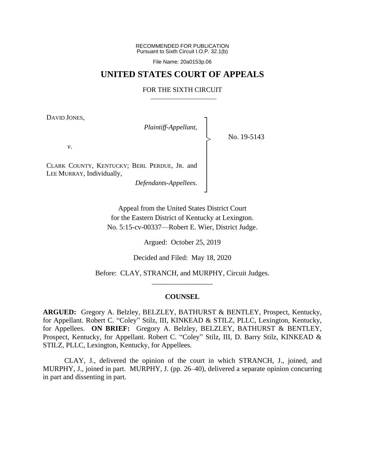RECOMMENDED FOR PUBLICATION Pursuant to Sixth Circuit I.O.P. 32.1(b)

File Name: 20a0153p.06

## **UNITED STATES COURT OF APPEALS**

#### FOR THE SIXTH CIRCUIT

┐ │ │ │ │ │ │ │ │ ┘

|<br>|<br>|

DAVID JONES,

*Plaintiff-Appellant*,

No. 19-5143

*v*.

CLARK COUNTY, KENTUCKY; BERL PERDUE, JR. and LEE MURRAY, Individually,

*Defendants-Appellees*.

Appeal from the United States District Court for the Eastern District of Kentucky at Lexington. No. 5:15-cv-00337—Robert E. Wier, District Judge.

Argued: October 25, 2019

Decided and Filed: May 18, 2020

Before: CLAY, STRANCH, and MURPHY, Circuit Judges. \_\_\_\_\_\_\_\_\_\_\_\_\_\_\_\_\_

#### **COUNSEL**

**ARGUED:** Gregory A. Belzley, BELZLEY, BATHURST & BENTLEY, Prospect, Kentucky, for Appellant. Robert C. "Coley" Stilz, III, KINKEAD & STILZ, PLLC, Lexington, Kentucky, for Appellees. **ON BRIEF:** Gregory A. Belzley, BELZLEY, BATHURST & BENTLEY, Prospect, Kentucky, for Appellant. Robert C. "Coley" Stilz, III, D. Barry Stilz, KINKEAD & STILZ, PLLC, Lexington, Kentucky, for Appellees.

CLAY, J., delivered the opinion of the court in which STRANCH, J., joined, and MURPHY, J., joined in part. MURPHY, J. (pp. 26–40), delivered a separate opinion concurring in part and dissenting in part.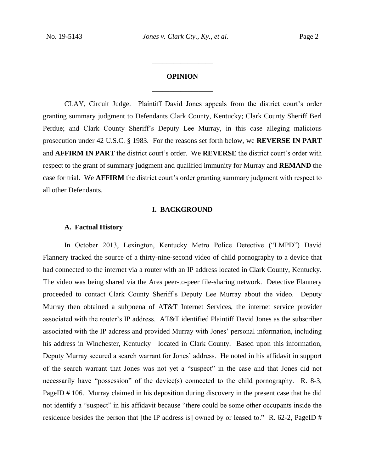## **OPINION** \_\_\_\_\_\_\_\_\_\_\_\_\_\_\_\_\_

\_\_\_\_\_\_\_\_\_\_\_\_\_\_\_\_\_

CLAY, Circuit Judge.Plaintiff David Jones appeals from the district court's order granting summary judgment to Defendants Clark County, Kentucky; Clark County Sheriff Berl Perdue; and Clark County Sheriff's Deputy Lee Murray, in this case alleging malicious prosecution under 42 U.S.C. § 1983. For the reasons set forth below, we **REVERSE IN PART**  and **AFFIRM IN PART** the district court's order. We **REVERSE** the district court's order with respect to the grant of summary judgment and qualified immunity for Murray and **REMAND** the case for trial. We **AFFIRM** the district court's order granting summary judgment with respect to all other Defendants.

#### **I. BACKGROUND**

#### **A. Factual History**

In October 2013, Lexington, Kentucky Metro Police Detective ("LMPD") David Flannery tracked the source of a thirty-nine-second video of child pornography to a device that had connected to the internet via a router with an IP address located in Clark County, Kentucky. The video was being shared via the Ares peer-to-peer file-sharing network. Detective Flannery proceeded to contact Clark County Sheriff's Deputy Lee Murray about the video. Deputy Murray then obtained a subpoena of AT&T Internet Services, the internet service provider associated with the router's IP address. AT&T identified Plaintiff David Jones as the subscriber associated with the IP address and provided Murray with Jones' personal information, including his address in Winchester, Kentucky—located in Clark County. Based upon this information, Deputy Murray secured a search warrant for Jones' address. He noted in his affidavit in support of the search warrant that Jones was not yet a "suspect" in the case and that Jones did not necessarily have "possession" of the device(s) connected to the child pornography. R. 8-3, PageID # 106. Murray claimed in his deposition during discovery in the present case that he did not identify a "suspect" in his affidavit because "there could be some other occupants inside the residence besides the person that [the IP address is] owned by or leased to." R. 62-2, PageID #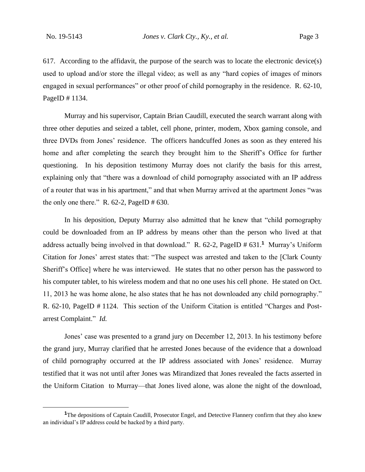617. According to the affidavit, the purpose of the search was to locate the electronic device(s) used to upload and/or store the illegal video; as well as any "hard copies of images of minors engaged in sexual performances" or other proof of child pornography in the residence. R. 62-10, PageID # 1134.

Murray and his supervisor, Captain Brian Caudill, executed the search warrant along with three other deputies and seized a tablet, cell phone, printer, modem, Xbox gaming console, and three DVDs from Jones' residence. The officers handcuffed Jones as soon as they entered his home and after completing the search they brought him to the Sheriff's Office for further questioning. In his deposition testimony Murray does not clarify the basis for this arrest, explaining only that "there was a download of child pornography associated with an IP address of a router that was in his apartment," and that when Murray arrived at the apartment Jones "was the only one there." R.  $62-2$ , PageID # 630.

In his deposition, Deputy Murray also admitted that he knew that "child pornography could be downloaded from an IP address by means other than the person who lived at that address actually being involved in that download." R. 62-2, PageID # 631.**<sup>1</sup>** Murray's Uniform Citation for Jones' arrest states that: "The suspect was arrested and taken to the [Clark County Sheriff's Office] where he was interviewed. He states that no other person has the password to his computer tablet, to his wireless modem and that no one uses his cell phone. He stated on Oct. 11, 2013 he was home alone, he also states that he has not downloaded any child pornography." R. 62-10, PageID # 1124. This section of the Uniform Citation is entitled "Charges and Postarrest Complaint." *Id.*

Jones' case was presented to a grand jury on December 12, 2013. In his testimony before the grand jury, Murray clarified that he arrested Jones because of the evidence that a download of child pornography occurred at the IP address associated with Jones' residence. Murray testified that it was not until after Jones was Mirandized that Jones revealed the facts asserted in the Uniform Citation to Murray—that Jones lived alone, was alone the night of the download,

**<sup>1</sup>**The depositions of Captain Caudill, Prosecutor Engel, and Detective Flannery confirm that they also knew an individual's IP address could be hacked by a third party.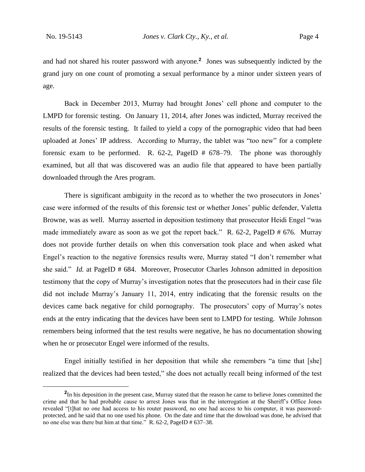and had not shared his router password with anyone.**<sup>2</sup>** Jones was subsequently indicted by the grand jury on one count of promoting a sexual performance by a minor under sixteen years of age.

Back in December 2013, Murray had brought Jones' cell phone and computer to the LMPD for forensic testing. On January 11, 2014, after Jones was indicted, Murray received the results of the forensic testing. It failed to yield a copy of the pornographic video that had been uploaded at Jones' IP address. According to Murray, the tablet was "too new" for a complete forensic exam to be performed. R. 62-2, PageID # 678–79. The phone was thoroughly examined, but all that was discovered was an audio file that appeared to have been partially downloaded through the Ares program.

There is significant ambiguity in the record as to whether the two prosecutors in Jones' case were informed of the results of this forensic test or whether Jones' public defender, Valetta Browne, was as well. Murray asserted in deposition testimony that prosecutor Heidi Engel "was made immediately aware as soon as we got the report back." R. 62-2, PageID # 676. Murray does not provide further details on when this conversation took place and when asked what Engel's reaction to the negative forensics results were, Murray stated "I don't remember what she said." *Id.* at PageID # 684. Moreover, Prosecutor Charles Johnson admitted in deposition testimony that the copy of Murray's investigation notes that the prosecutors had in their case file did not include Murray's January 11, 2014, entry indicating that the forensic results on the devices came back negative for child pornography. The prosecutors' copy of Murray's notes ends at the entry indicating that the devices have been sent to LMPD for testing. While Johnson remembers being informed that the test results were negative, he has no documentation showing when he or prosecutor Engel were informed of the results.

Engel initially testified in her deposition that while she remembers "a time that [she] realized that the devices had been tested," she does not actually recall being informed of the test

**<sup>2</sup>** In his deposition in the present case, Murray stated that the reason he came to believe Jones committed the crime and that he had probable cause to arrest Jones was that in the interrogation at the Sheriff's Office Jones revealed "[t]hat no one had access to his router password, no one had access to his computer, it was passwordprotected, and he said that no one used his phone. On the date and time that the download was done, he advised that no one else was there but him at that time." R. 62-2, PageID # 637–38.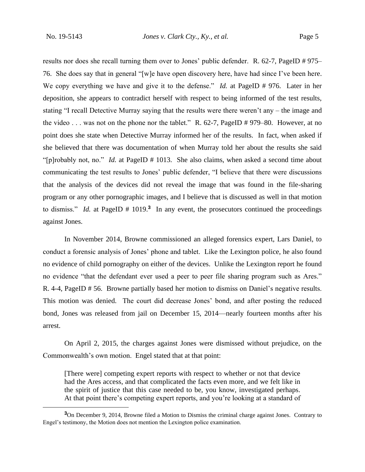results nor does she recall turning them over to Jones' public defender. R. 62-7, PageID # 975– 76. She does say that in general "[w]e have open discovery here, have had since I've been here. We copy everything we have and give it to the defense." *Id.* at PageID # 976. Later in her deposition, she appears to contradict herself with respect to being informed of the test results, stating "I recall Detective Murray saying that the results were there weren't any – the image and the video . . . was not on the phone nor the tablet." R. 62-7, PageID # 979–80. However, at no point does she state when Detective Murray informed her of the results. In fact, when asked if she believed that there was documentation of when Murray told her about the results she said "[p]robably not, no." *Id.* at PageID # 1013. She also claims, when asked a second time about communicating the test results to Jones' public defender, "I believe that there were discussions that the analysis of the devices did not reveal the image that was found in the file-sharing program or any other pornographic images, and I believe that is discussed as well in that motion to dismiss." *Id.* at PageID  $# 1019.3$  In any event, the prosecutors continued the proceedings against Jones.

In November 2014, Browne commissioned an alleged forensics expert, Lars Daniel, to conduct a forensic analysis of Jones' phone and tablet. Like the Lexington police, he also found no evidence of child pornography on either of the devices. Unlike the Lexington report he found no evidence "that the defendant ever used a peer to peer file sharing program such as Ares." R. 4-4, PageID # 56. Browne partially based her motion to dismiss on Daniel's negative results. This motion was denied. The court did decrease Jones' bond, and after posting the reduced bond, Jones was released from jail on December 15, 2014—nearly fourteen months after his arrest.

On April 2, 2015, the charges against Jones were dismissed without prejudice, on the Commonwealth's own motion. Engel stated that at that point:

[There were] competing expert reports with respect to whether or not that device had the Ares access, and that complicated the facts even more, and we felt like in the spirit of justice that this case needed to be, you know, investigated perhaps. At that point there's competing expert reports, and you're looking at a standard of

**<sup>3</sup>**On December 9, 2014, Browne filed a Motion to Dismiss the criminal charge against Jones. Contrary to Engel's testimony, the Motion does not mention the Lexington police examination.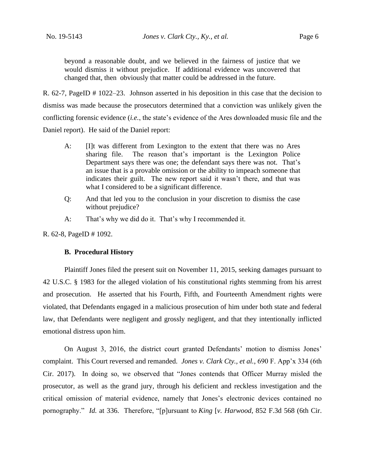beyond a reasonable doubt, and we believed in the fairness of justice that we would dismiss it without prejudice. If additional evidence was uncovered that changed that, then obviously that matter could be addressed in the future.

R. 62-7, PageID # 1022–23. Johnson asserted in his deposition in this case that the decision to dismiss was made because the prosecutors determined that a conviction was unlikely given the conflicting forensic evidence (*i.e.*, the state's evidence of the Ares downloaded music file and the Daniel report). He said of the Daniel report:

- A: [I]t was different from Lexington to the extent that there was no Ares sharing file. The reason that's important is the Lexington Police Department says there was one; the defendant says there was not. That's an issue that is a provable omission or the ability to impeach someone that indicates their guilt. The new report said it wasn't there, and that was what I considered to be a significant difference.
- Q: And that led you to the conclusion in your discretion to dismiss the case without prejudice?
- A: That's why we did do it. That's why I recommended it.

R. 62-8, PageID # 1092.

### **B. Procedural History**

Plaintiff Jones filed the present suit on November 11, 2015, seeking damages pursuant to 42 U.S.C. § 1983 for the alleged violation of his constitutional rights stemming from his arrest and prosecution. He asserted that his Fourth, Fifth, and Fourteenth Amendment rights were violated, that Defendants engaged in a malicious prosecution of him under both state and federal law, that Defendants were negligent and grossly negligent, and that they intentionally inflicted emotional distress upon him.

On August 3, 2016, the district court granted Defendants' motion to dismiss Jones' complaint. This Court reversed and remanded. *Jones v. Clark Cty., et al.*, 690 F. App'x 334 (6th Cir. 2017). In doing so, we observed that "Jones contends that Officer Murray misled the prosecutor, as well as the grand jury, through his deficient and reckless investigation and the critical omission of material evidence, namely that Jones's electronic devices contained no pornography." *Id.* at 336. Therefore, "[p]ursuant to *King* [*v. Harwood*, 852 F.3d 568 (6th Cir.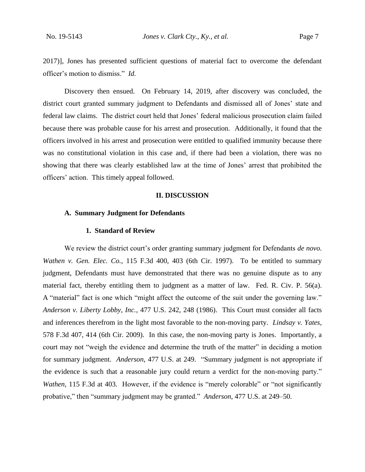2017)], Jones has presented sufficient questions of material fact to overcome the defendant officer's motion to dismiss." *Id.*

Discovery then ensued. On February 14, 2019, after discovery was concluded, the district court granted summary judgment to Defendants and dismissed all of Jones' state and federal law claims. The district court held that Jones' federal malicious prosecution claim failed because there was probable cause for his arrest and prosecution. Additionally, it found that the officers involved in his arrest and prosecution were entitled to qualified immunity because there was no constitutional violation in this case and, if there had been a violation, there was no showing that there was clearly established law at the time of Jones' arrest that prohibited the officers' action. This timely appeal followed.

#### **II. DISCUSSION**

## **A. Summary Judgment for Defendants**

#### **1. Standard of Review**

We review the district court's order granting summary judgment for Defendants *de novo*. *Wathen v. Gen. Elec. Co.*, 115 F.3d 400, 403 (6th Cir. 1997). To be entitled to summary judgment, Defendants must have demonstrated that there was no genuine dispute as to any material fact, thereby entitling them to judgment as a matter of law. Fed. R. Civ. P. 56(a). A "material" fact is one which "might affect the outcome of the suit under the governing law." *Anderson v. Liberty Lobby, Inc.*, 477 U.S. 242, 248 (1986). This Court must consider all facts and inferences therefrom in the light most favorable to the non-moving party. *Lindsay v. Yates*, 578 F.3d 407, 414 (6th Cir. 2009). In this case, the non-moving party is Jones. Importantly, a court may not "weigh the evidence and determine the truth of the matter" in deciding a motion for summary judgment. *Anderson*, 477 U.S. at 249. "Summary judgment is not appropriate if the evidence is such that a reasonable jury could return a verdict for the non-moving party." *Wathen*, 115 F.3d at 403. However, if the evidence is "merely colorable" or "not significantly probative," then "summary judgment may be granted." *Anderson*, 477 U.S. at 249–50.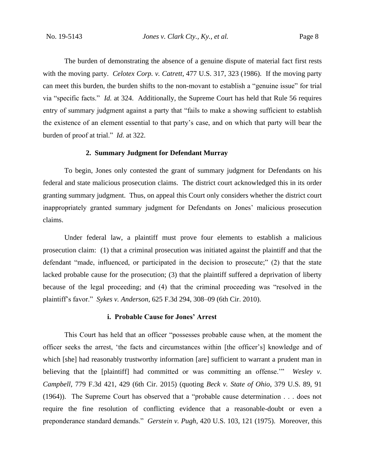The burden of demonstrating the absence of a genuine dispute of material fact first rests with the moving party. *Celotex Corp. v. Catrett*, 477 U.S. 317, 323 (1986). If the moving party can meet this burden, the burden shifts to the non-movant to establish a "genuine issue" for trial via "specific facts." *Id.* at 324. Additionally, the Supreme Court has held that Rule 56 requires entry of summary judgment against a party that "fails to make a showing sufficient to establish the existence of an element essential to that party's case, and on which that party will bear the burden of proof at trial." *Id.* at 322.

#### **2. Summary Judgment for Defendant Murray**

To begin, Jones only contested the grant of summary judgment for Defendants on his federal and state malicious prosecution claims. The district court acknowledged this in its order granting summary judgment. Thus, on appeal this Court only considers whether the district court inappropriately granted summary judgment for Defendants on Jones' malicious prosecution claims.

Under federal law, a plaintiff must prove four elements to establish a malicious prosecution claim: (1) that a criminal prosecution was initiated against the plaintiff and that the defendant "made, influenced, or participated in the decision to prosecute;" (2) that the state lacked probable cause for the prosecution; (3) that the plaintiff suffered a deprivation of liberty because of the legal proceeding; and (4) that the criminal proceeding was "resolved in the plaintiff's favor." *Sykes v. Anderson*, 625 F.3d 294, 308–09 (6th Cir. 2010).

#### **i. Probable Cause for Jones' Arrest**

This Court has held that an officer "possesses probable cause when, at the moment the officer seeks the arrest, 'the facts and circumstances within [the officer's] knowledge and of which [she] had reasonably trustworthy information [are] sufficient to warrant a prudent man in believing that the [plaintiff] had committed or was committing an offense.'" *Wesley v. Campbell*, 779 F.3d 421, 429 (6th Cir. 2015) (quoting *Beck v. State of Ohio*, 379 U.S. 89, 91 (1964)). The Supreme Court has observed that a "probable cause determination . . . does not require the fine resolution of conflicting evidence that a reasonable-doubt or even a preponderance standard demands." *Gerstein v. Pugh*, 420 U.S. 103, 121 (1975). Moreover, this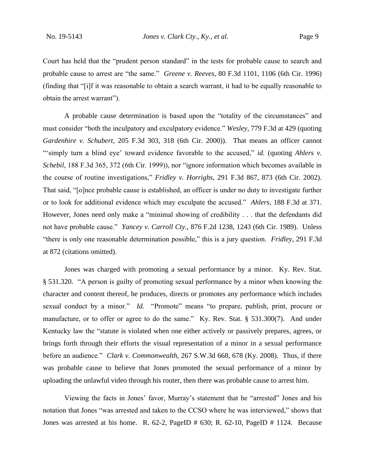Court has held that the "prudent person standard" in the tests for probable cause to search and probable cause to arrest are "the same." *Greene v. Reeves*, 80 F.3d 1101, 1106 (6th Cir. 1996) (finding that "[i]f it was reasonable to obtain a search warrant, it had to be equally reasonable to obtain the arrest warrant").

A probable cause determination is based upon the "totality of the circumstances" and must consider "both the inculpatory and exculpatory evidence." *Wesley*, 779 F.3d at 429 (quoting *Gardenhire v. Schubert*, 205 F.3d 303, 318 (6th Cir. 2000)). That means an officer cannot "simply turn a blind eye' toward evidence favorable to the accused," *id.* (quoting *Ahlers v. Schebil*, 188 F.3d 365, 372 (6th Cir. 1999)), nor "ignore information which becomes available in the course of routine investigations," *Fridley v. Horrighs*, 291 F.3d 867, 873 (6th Cir. 2002). That said, "[o]nce probable cause is established, an officer is under no duty to investigate further or to look for additional evidence which may exculpate the accused." *Ahlers*, 188 F.3d at 371. However, Jones need only make a "minimal showing of credibility . . . that the defendants did not have probable cause." *Yancey v. Carroll Cty.*, 876 F.2d 1238, 1243 (6th Cir. 1989). Unless "there is only one reasonable determination possible," this is a jury question. *Fridley*, 291 F.3d at 872 (citations omitted).

Jones was charged with promoting a sexual performance by a minor. Ky. Rev. Stat. § 531.320. "A person is guilty of promoting sexual performance by a minor when knowing the character and content thereof, he produces, directs or promotes any performance which includes sexual conduct by a minor." *Id.* "Promote" means "to prepare, publish, print, procure or manufacture, or to offer or agree to do the same." Ky. Rev. Stat. § 531.300(7). And under Kentucky law the "statute is violated when one either actively or passively prepares, agrees, or brings forth through their efforts the visual representation of a minor in a sexual performance before an audience." *Clark v. Commonwealth*, 267 S.W.3d 668, 678 (Ky. 2008). Thus, if there was probable cause to believe that Jones promoted the sexual performance of a minor by uploading the unlawful video through his router, then there was probable cause to arrest him.

Viewing the facts in Jones' favor, Murray's statement that he "arrested" Jones and his notation that Jones "was arrested and taken to the CCSO where he was interviewed," shows that Jones was arrested at his home. R. 62-2, PageID # 630; R. 62-10, PageID # 1124. Because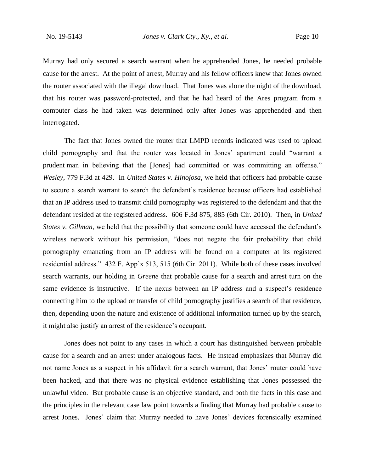Murray had only secured a search warrant when he apprehended Jones, he needed probable cause for the arrest. At the point of arrest, Murray and his fellow officers knew that Jones owned the router associated with the illegal download. That Jones was alone the night of the download, that his router was password-protected, and that he had heard of the Ares program from a computer class he had taken was determined only after Jones was apprehended and then interrogated.

The fact that Jones owned the router that LMPD records indicated was used to upload child pornography and that the router was located in Jones' apartment could "warrant a prudent man in believing that the [Jones] had committed or was committing an offense." *Wesley*, 779 F.3d at 429. In *United States v. Hinojosa*, we held that officers had probable cause to secure a search warrant to search the defendant's residence because officers had established that an IP address used to transmit child pornography was registered to the defendant and that the defendant resided at the registered address. 606 F.3d 875, 885 (6th Cir. 2010). Then, in *United States v. Gillman*, we held that the possibility that someone could have accessed the defendant's wireless network without his permission, "does not negate the fair probability that child pornography emanating from an IP address will be found on a computer at its registered residential address." 432 F. App'x 513, 515 (6th Cir. 2011). While both of these cases involved search warrants, our holding in *Greene* that probable cause for a search and arrest turn on the same evidence is instructive. If the nexus between an IP address and a suspect's residence connecting him to the upload or transfer of child pornography justifies a search of that residence, then, depending upon the nature and existence of additional information turned up by the search, it might also justify an arrest of the residence's occupant.

Jones does not point to any cases in which a court has distinguished between probable cause for a search and an arrest under analogous facts. He instead emphasizes that Murray did not name Jones as a suspect in his affidavit for a search warrant, that Jones' router could have been hacked, and that there was no physical evidence establishing that Jones possessed the unlawful video. But probable cause is an objective standard, and both the facts in this case and the principles in the relevant case law point towards a finding that Murray had probable cause to arrest Jones. Jones' claim that Murray needed to have Jones' devices forensically examined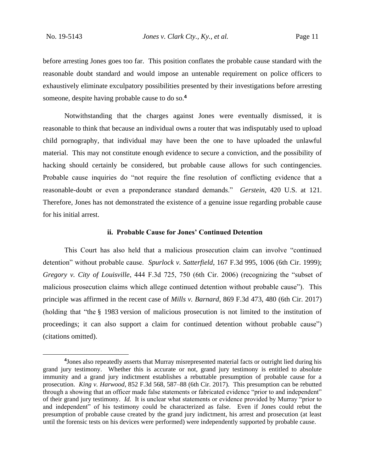before arresting Jones goes too far. This position conflates the probable cause standard with the reasonable doubt standard and would impose an untenable requirement on police officers to exhaustively eliminate exculpatory possibilities presented by their investigations before arresting someone, despite having probable cause to do so.**<sup>4</sup>**

Notwithstanding that the charges against Jones were eventually dismissed, it is reasonable to think that because an individual owns a router that was indisputably used to upload child pornography, that individual may have been the one to have uploaded the unlawful material. This may not constitute enough evidence to secure a conviction, and the possibility of hacking should certainly be considered, but probable cause allows for such contingencies. Probable cause inquiries do "not require the fine resolution of conflicting evidence that a reasonable-doubt or even a preponderance standard demands." *Gerstein*, 420 U.S. at 121. Therefore, Jones has not demonstrated the existence of a genuine issue regarding probable cause for his initial arrest.

#### **ii. Probable Cause for Jones' Continued Detention**

This Court has also held that a malicious prosecution claim can involve "continued detention" without probable cause. *Spurlock v. Satterfield*, 167 F.3d 995, 1006 (6th Cir. 1999); *Gregory v. City of Louisville*, 444 F.3d 725, 750 (6th Cir. 2006) (recognizing the "subset of malicious prosecution claims which allege continued detention without probable cause"). This principle was affirmed in the recent case of *Mills v. Barnard*, 869 F.3d 473, 480 (6th Cir. 2017) (holding that "the § 1983 version of malicious prosecution is not limited to the institution of proceedings; it can also support a claim for continued detention without probable cause") (citations omitted).

**<sup>4</sup>** Jones also repeatedly asserts that Murray misrepresented material facts or outright lied during his grand jury testimony. Whether this is accurate or not, grand jury testimony is entitled to absolute immunity and a grand jury indictment establishes a rebuttable presumption of probable cause for a prosecution. *King v. Harwood*, 852 F.3d 568, 587–88 (6th Cir. 2017). This presumption can be rebutted through a showing that an officer made false statements or fabricated evidence "prior to and independent" of their grand jury testimony. *Id.* It is unclear what statements or evidence provided by Murray "prior to and independent" of his testimony could be characterized as false. Even if Jones could rebut the presumption of probable cause created by the grand jury indictment, his arrest and prosecution (at least until the forensic tests on his devices were performed) were independently supported by probable cause.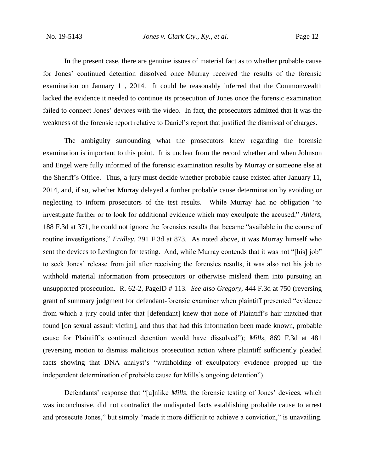In the present case, there are genuine issues of material fact as to whether probable cause for Jones' continued detention dissolved once Murray received the results of the forensic examination on January 11, 2014. It could be reasonably inferred that the Commonwealth lacked the evidence it needed to continue its prosecution of Jones once the forensic examination failed to connect Jones' devices with the video. In fact, the prosecutors admitted that it was the weakness of the forensic report relative to Daniel's report that justified the dismissal of charges.

The ambiguity surrounding what the prosecutors knew regarding the forensic examination is important to this point. It is unclear from the record whether and when Johnson and Engel were fully informed of the forensic examination results by Murray or someone else at the Sheriff's Office. Thus, a jury must decide whether probable cause existed after January 11, 2014, and, if so, whether Murray delayed a further probable cause determination by avoiding or neglecting to inform prosecutors of the test results. While Murray had no obligation "to investigate further or to look for additional evidence which may exculpate the accused," *Ahlers*, 188 F.3d at 371, he could not ignore the forensics results that became "available in the course of routine investigations," *Fridley*, 291 F.3d at 873. As noted above, it was Murray himself who sent the devices to Lexington for testing. And, while Murray contends that it was not "[his] job" to seek Jones' release from jail after receiving the forensics results, it was also not his job to withhold material information from prosecutors or otherwise mislead them into pursuing an unsupported prosecution. R. 62-2, PageID # 113. *See also Gregory*, 444 F.3d at 750 (reversing grant of summary judgment for defendant-forensic examiner when plaintiff presented "evidence from which a jury could infer that [defendant] knew that none of Plaintiff's hair matched that found [on sexual assault victim], and thus that had this information been made known, probable cause for Plaintiff's continued detention would have dissolved"); *Mills*, 869 F.3d at 481 (reversing motion to dismiss malicious prosecution action where plaintiff sufficiently pleaded facts showing that DNA analyst's "withholding of exculpatory evidence propped up the independent determination of probable cause for Mills's ongoing detention").

Defendants' response that "[u]nlike *Mills*, the forensic testing of Jones' devices, which was inconclusive, did not contradict the undisputed facts establishing probable cause to arrest and prosecute Jones," but simply "made it more difficult to achieve a conviction," is unavailing.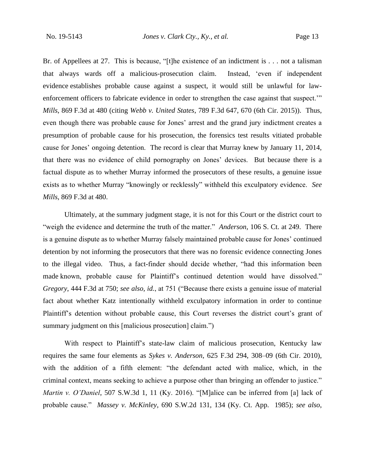Br. of Appellees at 27. This is because, "[t]he existence of an indictment is . . . not a talisman that always wards off a malicious-prosecution claim. Instead, 'even if independent evidence establishes probable cause against a suspect, it would still be unlawful for lawenforcement officers to fabricate evidence in order to strengthen the case against that suspect.'" *Mills*, 869 F.3d at 480 (citing *Webb v. United States*, 789 F.3d 647, 670 (6th Cir. 2015)). Thus, even though there was probable cause for Jones' arrest and the grand jury indictment creates a presumption of probable cause for his prosecution, the forensics test results vitiated probable cause for Jones' ongoing detention. The record is clear that Murray knew by January 11, 2014, that there was no evidence of child pornography on Jones' devices. But because there is a factual dispute as to whether Murray informed the prosecutors of these results, a genuine issue exists as to whether Murray "knowingly or recklessly" withheld this exculpatory evidence. *See Mills*, 869 F.3d at 480.

Ultimately, at the summary judgment stage, it is not for this Court or the district court to "weigh the evidence and determine the truth of the matter." *Anderson*, 106 S. Ct. at 249. There is a genuine dispute as to whether Murray falsely maintained probable cause for Jones' continued detention by not informing the prosecutors that there was no forensic evidence connecting Jones to the illegal video. Thus, a fact-finder should decide whether, "had this information been made known, probable cause for Plaintiff's continued detention would have dissolved." *Gregory*, 444 F.3d at 750; *see also, id.*, at 751 ("Because there exists a genuine issue of material fact about whether Katz intentionally withheld exculpatory information in order to continue Plaintiff's detention without probable cause, this Court reverses the district court's grant of summary judgment on this [malicious prosecution] claim.")

With respect to Plaintiff's state-law claim of malicious prosecution, Kentucky law requires the same four elements as *Sykes v. Anderson*, 625 F.3d 294, 308–09 (6th Cir. 2010), with the addition of a fifth element: "the defendant acted with malice, which, in the criminal context, means seeking to achieve a purpose other than bringing an offender to justice." *Martin v. O'Daniel*, 507 S.W.3d 1, 11 (Ky. 2016). "[M]alice can be inferred from [a] lack of probable cause." *Massey v. McKinley*, 690 S.W.2d 131, 134 (Ky. Ct. App. 1985); *see also*,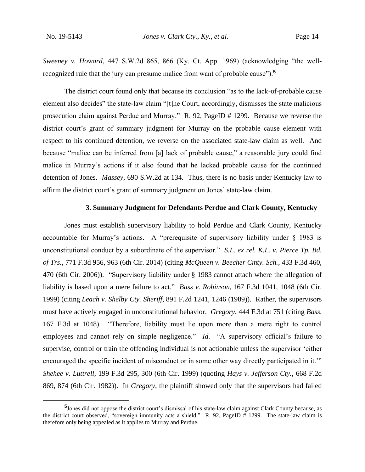*Sweeney v. Howard*, 447 S.W.2d 865, 866 (Ky. Ct. App. 1969) (acknowledging "the wellrecognized rule that the jury can presume malice from want of probable cause").**<sup>5</sup>**

The district court found only that because its conclusion "as to the lack-of-probable cause element also decides" the state-law claim "[t]he Court, accordingly, dismisses the state malicious prosecution claim against Perdue and Murray." R. 92, PageID # 1299. Because we reverse the district court's grant of summary judgment for Murray on the probable cause element with respect to his continued detention, we reverse on the associated state-law claim as well. And because "malice can be inferred from [a] lack of probable cause," a reasonable jury could find malice in Murray's actions if it also found that he lacked probable cause for the continued detention of Jones. *Massey*, 690 S.W.2d at 134. Thus, there is no basis under Kentucky law to affirm the district court's grant of summary judgment on Jones' state-law claim.

#### **3. Summary Judgment for Defendants Perdue and Clark County, Kentucky**

Jones must establish supervisory liability to hold Perdue and Clark County, Kentucky accountable for Murray's actions. A "prerequisite of supervisory liability under  $\S$  1983 is unconstitutional conduct by a subordinate of the supervisor." *S.L. ex rel. K.L. v. Pierce Tp. Bd. of Trs.*, 771 F.3d 956, 963 (6th Cir. 2014) (citing *McQueen v. Beecher Cmty. Sch.*, 433 F.3d 460, 470 (6th Cir. 2006)). "Supervisory liability under § 1983 cannot attach where the allegation of liability is based upon a mere failure to act." *Bass v. Robinson,* 167 F.3d 1041, 1048 (6th Cir. 1999) (citing *Leach v. Shelby Cty. Sheriff*, 891 F.2d 1241, 1246 (1989)). Rather, the supervisors must have actively engaged in unconstitutional behavior. *Gregory*, 444 F.3d at 751 (citing *Bass*, 167 F.3d at 1048). "Therefore, liability must lie upon more than a mere right to control employees and cannot rely on simple negligence." *Id.* "A supervisory official's failure to supervise, control or train the offending individual is not actionable unless the supervisor 'either encouraged the specific incident of misconduct or in some other way directly participated in it." *Shehee v. Luttrell*, 199 F.3d 295, 300 (6th Cir. 1999) (quoting *Hays v. Jefferson Cty.*, 668 F.2d 869, 874 (6th Cir. 1982)). In *Gregory*, the plaintiff showed only that the supervisors had failed

**<sup>5</sup>** Jones did not oppose the district court's dismissal of his state-law claim against Clark County because, as the district court observed, "sovereign immunity acts a shield." R. 92, PageID # 1299. The state-law claim is therefore only being appealed as it applies to Murray and Perdue.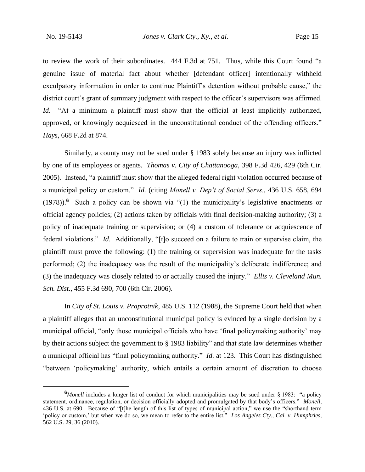to review the work of their subordinates. 444 F.3d at 751. Thus, while this Court found "a genuine issue of material fact about whether [defendant officer] intentionally withheld exculpatory information in order to continue Plaintiff's detention without probable cause," the district court's grant of summary judgment with respect to the officer's supervisors was affirmed. *Id.* "At a minimum a plaintiff must show that the official at least implicitly authorized, approved, or knowingly acquiesced in the unconstitutional conduct of the offending officers." *Hays*, 668 F.2d at 874.

Similarly, a county may not be sued under § 1983 solely because an injury was inflicted by one of its employees or agents. *Thomas v. City of Chattanooga*, 398 F.3d 426, 429 (6th Cir. 2005)*.* Instead, "a plaintiff must show that the alleged federal right violation occurred because of a municipal policy or custom." *Id.* (citing *Monell v. Dep't of Social Servs.*, 436 U.S. 658, 694 (1978)).**<sup>6</sup>** Such a policy can be shown via "(1) the municipality's legislative enactments or official agency policies; (2) actions taken by officials with final decision-making authority; (3) a policy of inadequate training or supervision; or (4) a custom of tolerance or acquiescence of federal violations." *Id*. Additionally, "[t]o succeed on a failure to train or supervise claim, the plaintiff must prove the following: (1) the training or supervision was inadequate for the tasks performed; (2) the inadequacy was the result of the municipality's deliberate indifference; and (3) the inadequacy was closely related to or actually caused the injury." *Ellis v. Cleveland Mun. Sch. Dist.*, 455 F.3d 690, 700 (6th Cir. 2006).

In *City of St. Louis v. Praprotnik*, 485 U.S. 112 (1988), the Supreme Court held that when a plaintiff alleges that an unconstitutional municipal policy is evinced by a single decision by a municipal official, "only those municipal officials who have 'final policymaking authority' may by their actions subject the government to § 1983 liability" and that state law determines whether a municipal official has "final policymaking authority." *Id.* at 123. This Court has distinguished "between 'policymaking' authority, which entails a certain amount of discretion to choose

**<sup>6</sup>***Monell* includes a longer list of conduct for which municipalities may be sued under § 1983: "a policy statement, ordinance, regulation, or decision officially adopted and promulgated by that body's officers." *Monell*, 436 U.S. at 690. Because of "[t]he length of this list of types of municipal action," we use the "shorthand term 'policy or custom,' but when we do so, we mean to refer to the entire list." *Los Angeles Cty., Cal. v. Humphries*, 562 U.S. 29, 36 (2010).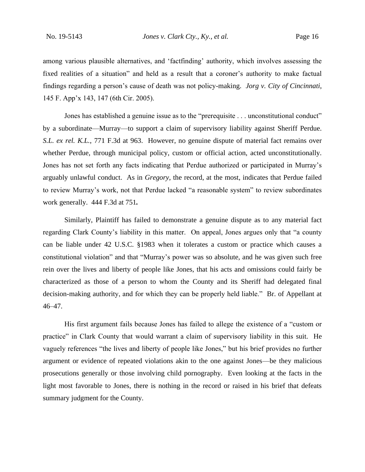among various plausible alternatives, and 'factfinding' authority, which involves assessing the fixed realities of a situation" and held as a result that a coroner's authority to make factual findings regarding a person's cause of death was not policy-making. *Jorg v. City of Cincinnati*, 145 F. App'x 143, 147 (6th Cir. 2005).

Jones has established a genuine issue as to the "prerequisite . . . unconstitutional conduct" by a subordinate—Murray—to support a claim of supervisory liability against Sheriff Perdue. *S.L. ex rel. K.L.*, 771 F.3d at 963. However, no genuine dispute of material fact remains over whether Perdue, through municipal policy, custom or official action, acted unconstitutionally. Jones has not set forth any facts indicating that Perdue authorized or participated in Murray's arguably unlawful conduct. As in *Gregory*, the record, at the most, indicates that Perdue failed to review Murray's work, not that Perdue lacked "a reasonable system" to review subordinates work generally. 444 F.3d at 751*.*

Similarly, Plaintiff has failed to demonstrate a genuine dispute as to any material fact regarding Clark County's liability in this matter. On appeal, Jones argues only that "a county can be liable under 42 U.S.C. §1983 when it tolerates a custom or practice which causes a constitutional violation" and that "Murray's power was so absolute, and he was given such free rein over the lives and liberty of people like Jones, that his acts and omissions could fairly be characterized as those of a person to whom the County and its Sheriff had delegated final decision-making authority, and for which they can be properly held liable." Br. of Appellant at 46–47.

His first argument fails because Jones has failed to allege the existence of a "custom or practice" in Clark County that would warrant a claim of supervisory liability in this suit. He vaguely references "the lives and liberty of people like Jones," but his brief provides no further argument or evidence of repeated violations akin to the one against Jones—be they malicious prosecutions generally or those involving child pornography. Even looking at the facts in the light most favorable to Jones, there is nothing in the record or raised in his brief that defeats summary judgment for the County.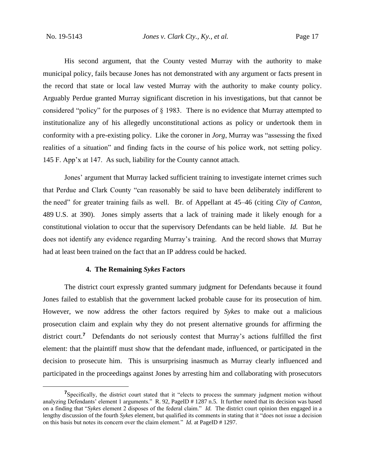His second argument, that the County vested Murray with the authority to make municipal policy, fails because Jones has not demonstrated with any argument or facts present in the record that state or local law vested Murray with the authority to make county policy. Arguably Perdue granted Murray significant discretion in his investigations, but that cannot be considered "policy" for the purposes of § 1983. There is no evidence that Murray attempted to institutionalize any of his allegedly unconstitutional actions as policy or undertook them in conformity with a pre-existing policy. Like the coroner in *Jorg*, Murray was "assessing the fixed realities of a situation" and finding facts in the course of his police work, not setting policy. 145 F. App'x at 147. As such, liability for the County cannot attach.

Jones' argument that Murray lacked sufficient training to investigate internet crimes such that Perdue and Clark County "can reasonably be said to have been deliberately indifferent to the need" for greater training fails as well. Br. of Appellant at 45–46 (citing *City of Canton*, 489 U.S. at 390). Jones simply asserts that a lack of training made it likely enough for a constitutional violation to occur that the supervisory Defendants can be held liable. *Id.* But he does not identify any evidence regarding Murray's training. And the record shows that Murray had at least been trained on the fact that an IP address could be hacked.

#### **4. The Remaining** *Sykes* **Factors**

The district court expressly granted summary judgment for Defendants because it found Jones failed to establish that the government lacked probable cause for its prosecution of him. However, we now address the other factors required by *Sykes* to make out a malicious prosecution claim and explain why they do not present alternative grounds for affirming the district court.<sup>7</sup> Defendants do not seriously contest that Murray's actions fulfilled the first element: that the plaintiff must show that the defendant made, influenced, or participated in the decision to prosecute him. This is unsurprising inasmuch as Murray clearly influenced and participated in the proceedings against Jones by arresting him and collaborating with prosecutors

**<sup>7</sup>**Specifically, the district court stated that it "elects to process the summary judgment motion without analyzing Defendants' element 1 arguments." R. 92, PageID # 1287 n.5. It further noted that its decision was based on a finding that "*Sykes* element 2 disposes of the federal claim." *Id.* The district court opinion then engaged in a lengthy discussion of the fourth *Sykes* element, but qualified its comments in stating that it "does not issue a decision on this basis but notes its concern over the claim element." *Id.* at PageID # 1297.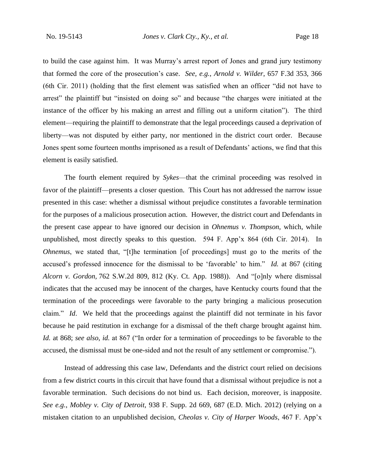to build the case against him. It was Murray's arrest report of Jones and grand jury testimony that formed the core of the prosecution's case. *See, e.g.*, *Arnold v. Wilder*, 657 F.3d 353, 366 (6th Cir. 2011) (holding that the first element was satisfied when an officer "did not have to arrest" the plaintiff but "insisted on doing so" and because "the charges were initiated at the instance of the officer by his making an arrest and filling out a uniform citation"). The third element—requiring the plaintiff to demonstrate that the legal proceedings caused a deprivation of liberty—was not disputed by either party, nor mentioned in the district court order. Because Jones spent some fourteen months imprisoned as a result of Defendants' actions, we find that this element is easily satisfied.

The fourth element required by *Sykes*—that the criminal proceeding was resolved in favor of the plaintiff—presents a closer question. This Court has not addressed the narrow issue presented in this case: whether a dismissal without prejudice constitutes a favorable termination for the purposes of a malicious prosecution action. However, the district court and Defendants in the present case appear to have ignored our decision in *Ohnemus v. Thompson*, which, while unpublished, most directly speaks to this question. 594 F. App'x 864 (6th Cir. 2014). In *Ohnemus*, we stated that, "[t]he termination [of proceedings] must go to the merits of the accused's professed innocence for the dismissal to be 'favorable' to him." *Id.* at 867 (citing *Alcorn v. Gordon,* 762 S.W.2d 809, 812 (Ky. Ct. App. 1988)). And "[o]nly where dismissal indicates that the accused may be innocent of the charges, have Kentucky courts found that the termination of the proceedings were favorable to the party bringing a malicious prosecution claim." *Id*. We held that the proceedings against the plaintiff did not terminate in his favor because he paid restitution in exchange for a dismissal of the theft charge brought against him. *Id.* at 868; *see also*, *id.* at 867 ("In order for a termination of proceedings to be favorable to the accused, the dismissal must be one-sided and not the result of any settlement or compromise.").

Instead of addressing this case law, Defendants and the district court relied on decisions from a few district courts in this circuit that have found that a dismissal without prejudice is not a favorable termination. Such decisions do not bind us. Each decision, moreover, is inapposite. *See e.g.*, *Mobley v. City of Detroit*, 938 F. Supp. 2d 669, 687 (E.D. Mich. 2012) (relying on a mistaken citation to an unpublished decision, *Cheolas v. City of Harper Woods*, 467 F. App'x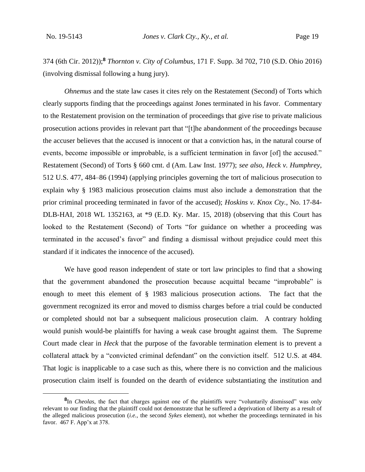374 (6th Cir. 2012));**<sup>8</sup>** *Thornton v. City of Columbus*, 171 F. Supp. 3d 702, 710 (S.D. Ohio 2016) (involving dismissal following a hung jury).

*Ohnemus* and the state law cases it cites rely on the Restatement (Second) of Torts which clearly supports finding that the proceedings against Jones terminated in his favor. Commentary to the Restatement provision on the termination of proceedings that give rise to private malicious prosecution actions provides in relevant part that "[t]he abandonment of the proceedings because the accuser believes that the accused is innocent or that a conviction has, in the natural course of events, become impossible or improbable, is a sufficient termination in favor [of] the accused." Restatement (Second) of Torts § 660 cmt. d (Am. Law Inst. 1977); *see also*, *Heck v. Humphrey*, 512 U.S. 477, 484–86 (1994) (applying principles governing the tort of malicious prosecution to explain why § 1983 malicious prosecution claims must also include a demonstration that the prior criminal proceeding terminated in favor of the accused); *Hoskins v. Knox Cty.*, No. 17-84- DLB-HAI, 2018 WL 1352163, at \*9 (E.D. Ky. Mar. 15, 2018) (observing that this Court has looked to the Restatement (Second) of Torts "for guidance on whether a proceeding was terminated in the accused's favor" and finding a dismissal without prejudice could meet this standard if it indicates the innocence of the accused).

We have good reason independent of state or tort law principles to find that a showing that the government abandoned the prosecution because acquittal became "improbable" is enough to meet this element of § 1983 malicious prosecution actions. The fact that the government recognized its error and moved to dismiss charges before a trial could be conducted or completed should not bar a subsequent malicious prosecution claim. A contrary holding would punish would-be plaintiffs for having a weak case brought against them. The Supreme Court made clear in *Heck* that the purpose of the favorable termination element is to prevent a collateral attack by a "convicted criminal defendant" on the conviction itself. 512 U.S. at 484. That logic is inapplicable to a case such as this, where there is no conviction and the malicious prosecution claim itself is founded on the dearth of evidence substantiating the institution and

**<sup>8</sup>** In *Cheolas*, the fact that charges against one of the plaintiffs were "voluntarily dismissed" was only relevant to our finding that the plaintiff could not demonstrate that he suffered a deprivation of liberty as a result of the alleged malicious prosecution (*i.e.*, the second *Sykes* element), not whether the proceedings terminated in his favor. 467 F. App'x at 378.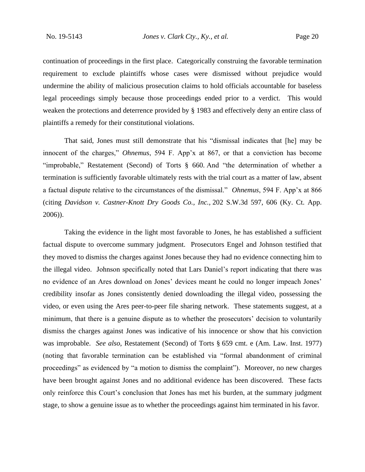continuation of proceedings in the first place. Categorically construing the favorable termination requirement to exclude plaintiffs whose cases were dismissed without prejudice would undermine the ability of malicious prosecution claims to hold officials accountable for baseless legal proceedings simply because those proceedings ended prior to a verdict. This would weaken the protections and deterrence provided by § 1983 and effectively deny an entire class of plaintiffs a remedy for their constitutional violations.

That said, Jones must still demonstrate that his "dismissal indicates that [he] may be innocent of the charges," *Ohnemus*, 594 F. App'x at 867, or that a conviction has become "improbable," Restatement (Second) of Torts § 660. And "the determination of whether a termination is sufficiently favorable ultimately rests with the trial court as a matter of law, absent a factual dispute relative to the circumstances of the dismissal." *Ohnemus*, 594 F. App'x at 866 (citing *Davidson v. Castner-Knott Dry Goods Co., Inc.,* 202 S.W.3d 597, 606 (Ky. Ct. App. 2006)).

Taking the evidence in the light most favorable to Jones, he has established a sufficient factual dispute to overcome summary judgment. Prosecutors Engel and Johnson testified that they moved to dismiss the charges against Jones because they had no evidence connecting him to the illegal video. Johnson specifically noted that Lars Daniel's report indicating that there was no evidence of an Ares download on Jones' devices meant he could no longer impeach Jones' credibility insofar as Jones consistently denied downloading the illegal video, possessing the video, or even using the Ares peer-to-peer file sharing network. These statements suggest, at a minimum, that there is a genuine dispute as to whether the prosecutors' decision to voluntarily dismiss the charges against Jones was indicative of his innocence or show that his conviction was improbable. *See also*, Restatement (Second) of Torts § 659 cmt. e (Am. Law. Inst. 1977) (noting that favorable termination can be established via "formal abandonment of criminal proceedings" as evidenced by "a motion to dismiss the complaint"). Moreover, no new charges have been brought against Jones and no additional evidence has been discovered. These facts only reinforce this Court's conclusion that Jones has met his burden, at the summary judgment stage, to show a genuine issue as to whether the proceedings against him terminated in his favor.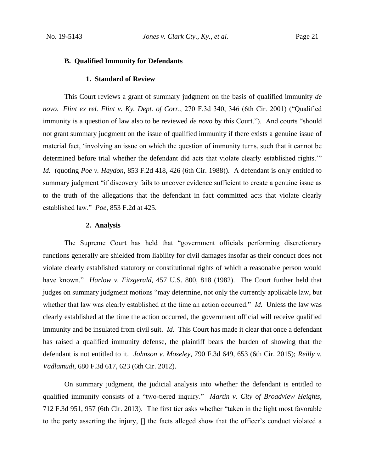#### **B. Qualified Immunity for Defendants**

#### **1. Standard of Review**

This Court reviews a grant of summary judgment on the basis of qualified immunity *de novo*. *Flint ex rel. Flint v. Ky. Dept. of Corr.*, 270 F.3d 340, 346 (6th Cir. 2001) ("Qualified immunity is a question of law also to be reviewed *de novo* by this Court."). And courts "should not grant summary judgment on the issue of qualified immunity if there exists a genuine issue of material fact, 'involving an issue on which the question of immunity turns, such that it cannot be determined before trial whether the defendant did acts that violate clearly established rights.'" *Id.* (quoting *Poe v. Haydon*, 853 F.2d 418, 426 (6th Cir. 1988)). A defendant is only entitled to summary judgment "if discovery fails to uncover evidence sufficient to create a genuine issue as to the truth of the allegations that the defendant in fact committed acts that violate clearly established law." *Poe*, 853 F.2d at 425.

#### **2. Analysis**

The Supreme Court has held that "government officials performing discretionary functions generally are shielded from liability for civil damages insofar as their conduct does not violate clearly established statutory or constitutional rights of which a reasonable person would have known." *Harlow v. Fitzgerald*, 457 U.S. 800, 818 (1982). The Court further held that judges on summary judgment motions "may determine, not only the currently applicable law, but whether that law was clearly established at the time an action occurred." *Id.* Unless the law was clearly established at the time the action occurred, the government official will receive qualified immunity and be insulated from civil suit. *Id.* This Court has made it clear that once a defendant has raised a qualified immunity defense, the plaintiff bears the burden of showing that the defendant is not entitled to it. *Johnson v. Moseley*, 790 F.3d 649, 653 (6th Cir. 2015); *Reilly v. Vadlamudi*, 680 F.3d 617, 623 (6th Cir. 2012).

On summary judgment, the judicial analysis into whether the defendant is entitled to qualified immunity consists of a "two-tiered inquiry." *Martin v. City of Broadview Heights*, 712 F.3d 951, 957 (6th Cir. 2013). The first tier asks whether "taken in the light most favorable to the party asserting the injury, [] the facts alleged show that the officer's conduct violated a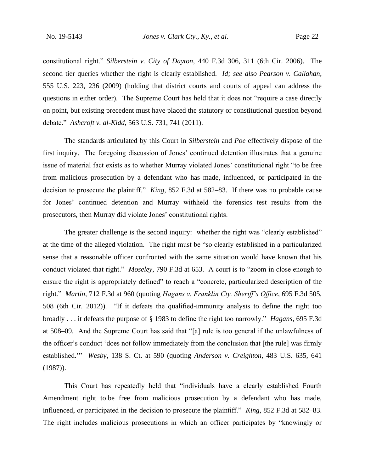constitutional right." *Silberstein v. City of Dayton*, 440 F.3d 306, 311 (6th Cir. 2006). The second tier queries whether the right is clearly established. *Id; see also Pearson v. Callahan*, 555 U.S. 223, 236 (2009) (holding that district courts and courts of appeal can address the questions in either order). The Supreme Court has held that it does not "require a case directly on point, but existing precedent must have placed the statutory or constitutional question beyond debate." *Ashcroft v. al-Kidd*, 563 U.S. 731, 741 (2011).

The standards articulated by this Court in *Silberstein* and *Poe* effectively dispose of the first inquiry. The foregoing discussion of Jones' continued detention illustrates that a genuine issue of material fact exists as to whether Murray violated Jones' constitutional right "to be free from malicious prosecution by a defendant who has made, influenced, or participated in the decision to prosecute the plaintiff." *King*, 852 F.3d at 582–83. If there was no probable cause for Jones' continued detention and Murray withheld the forensics test results from the prosecutors, then Murray did violate Jones' constitutional rights.

The greater challenge is the second inquiry: whether the right was "clearly established" at the time of the alleged violation. The right must be "so clearly established in a particularized sense that a reasonable officer confronted with the same situation would have known that his conduct violated that right." *Moseley*, 790 F.3d at 653. A court is to "zoom in close enough to ensure the right is appropriately defined" to reach a "concrete, particularized description of the right." *Martin*, 712 F.3d at 960 (quoting *Hagans v. Franklin Cty. Sheriff's Office*, 695 F.3d 505, 508 (6th Cir. 2012)). "If it defeats the qualified-immunity analysis to define the right too broadly . . . it defeats the purpose of § 1983 to define the right too narrowly." *Hagans*, 695 F.3d at 508–09. And the Supreme Court has said that "[a] rule is too general if the unlawfulness of the officer's conduct 'does not follow immediately from the conclusion that [the rule] was firmly established.'" *Wesby*, 138 S. Ct. at 590 (quoting *Anderson v. Creighton*, 483 U.S. 635, 641 (1987)).

This Court has repeatedly held that "individuals have a clearly established Fourth Amendment right to be free from malicious prosecution by a defendant who has made, influenced, or participated in the decision to prosecute the plaintiff." *King*, 852 F.3d at 582–83. The right includes malicious prosecutions in which an officer participates by "knowingly or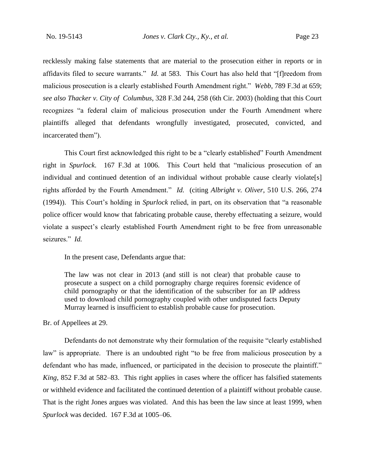recklessly making false statements that are material to the prosecution either in reports or in affidavits filed to secure warrants." *Id.* at 583. This Court has also held that "[f]reedom from malicious prosecution is a clearly established Fourth Amendment right." *Webb*, 789 F.3d at 659; *see also Thacker v. City of Columbus*, 328 F.3d 244, 258 (6th Cir. 2003) (holding that this Court recognizes "a federal claim of malicious prosecution under the Fourth Amendment where plaintiffs alleged that defendants wrongfully investigated, prosecuted, convicted, and incarcerated them").

This Court first acknowledged this right to be a "clearly established" Fourth Amendment right in *Spurlock*. 167 F.3d at 1006. This Court held that "malicious prosecution of an individual and continued detention of an individual without probable cause clearly violate[s] rights afforded by the Fourth Amendment." *Id.* (citing *Albright v. Oliver*, 510 U.S. 266, 274 (1994)). This Court's holding in *Spurlock* relied, in part, on its observation that "a reasonable police officer would know that fabricating probable cause, thereby effectuating a seizure, would violate a suspect's clearly established Fourth Amendment right to be free from unreasonable seizures." *Id.*

In the present case, Defendants argue that:

The law was not clear in 2013 (and still is not clear) that probable cause to prosecute a suspect on a child pornography charge requires forensic evidence of child pornography or that the identification of the subscriber for an IP address used to download child pornography coupled with other undisputed facts Deputy Murray learned is insufficient to establish probable cause for prosecution.

Br. of Appellees at 29.

Defendants do not demonstrate why their formulation of the requisite "clearly established law" is appropriate. There is an undoubted right "to be free from malicious prosecution by a defendant who has made, influenced, or participated in the decision to prosecute the plaintiff." *King*, 852 F.3d at 582–83. This right applies in cases where the officer has falsified statements or withheld evidence and facilitated the continued detention of a plaintiff without probable cause. That is the right Jones argues was violated. And this has been the law since at least 1999, when *Spurlock* was decided. 167 F.3d at 1005–06.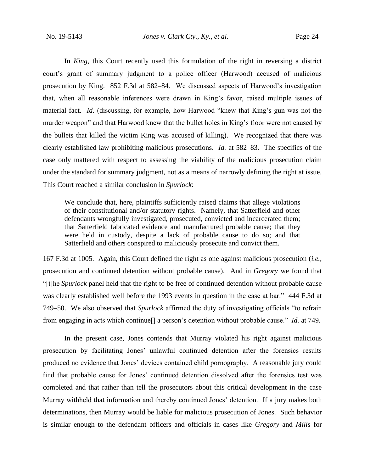In *King*, this Court recently used this formulation of the right in reversing a district court's grant of summary judgment to a police officer (Harwood) accused of malicious prosecution by King. 852 F.3d at 582–84. We discussed aspects of Harwood's investigation that, when all reasonable inferences were drawn in King's favor, raised multiple issues of material fact. *Id.* (discussing, for example, how Harwood "knew that King's gun was not the murder weapon" and that Harwood knew that the bullet holes in King's floor were not caused by the bullets that killed the victim King was accused of killing). We recognized that there was clearly established law prohibiting malicious prosecutions. *Id.* at 582–83. The specifics of the case only mattered with respect to assessing the viability of the malicious prosecution claim under the standard for summary judgment, not as a means of narrowly defining the right at issue. This Court reached a similar conclusion in *Spurlock*:

We conclude that, here, plaintiffs sufficiently raised claims that allege violations of their constitutional and/or statutory rights. Namely, that Satterfield and other defendants wrongfully investigated, prosecuted, convicted and incarcerated them; that Satterfield fabricated evidence and manufactured probable cause; that they were held in custody, despite a lack of probable cause to do so; and that Satterfield and others conspired to maliciously prosecute and convict them.

167 F.3d at 1005. Again, this Court defined the right as one against malicious prosecution (*i.e.*, prosecution and continued detention without probable cause). And in *Gregory* we found that "[t]he *Spurlock* panel held that the right to be free of continued detention without probable cause was clearly established well before the 1993 events in question in the case at bar." 444 F.3d at 749–50. We also observed that *Spurlock* affirmed the duty of investigating officials "to refrain from engaging in acts which continue[] a person's detention without probable cause." *Id.* at 749.

In the present case, Jones contends that Murray violated his right against malicious prosecution by facilitating Jones' unlawful continued detention after the forensics results produced no evidence that Jones' devices contained child pornography. A reasonable jury could find that probable cause for Jones' continued detention dissolved after the forensics test was completed and that rather than tell the prosecutors about this critical development in the case Murray withheld that information and thereby continued Jones' detention. If a jury makes both determinations, then Murray would be liable for malicious prosecution of Jones. Such behavior is similar enough to the defendant officers and officials in cases like *Gregory* and *Mills* for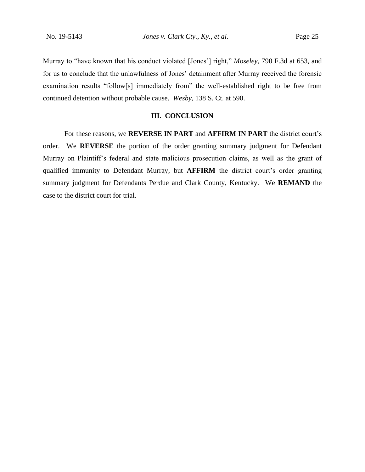Murray to "have known that his conduct violated [Jones'] right," *Moseley*, 790 F.3d at 653, and for us to conclude that the unlawfulness of Jones' detainment after Murray received the forensic examination results "follow[s] immediately from" the well-established right to be free from continued detention without probable cause. *Wesby*, 138 S. Ct. at 590.

## **III. CONCLUSION**

For these reasons, we **REVERSE IN PART** and **AFFIRM IN PART** the district court's order. We **REVERSE** the portion of the order granting summary judgment for Defendant Murray on Plaintiff's federal and state malicious prosecution claims, as well as the grant of qualified immunity to Defendant Murray, but **AFFIRM** the district court's order granting summary judgment for Defendants Perdue and Clark County, Kentucky. We **REMAND** the case to the district court for trial.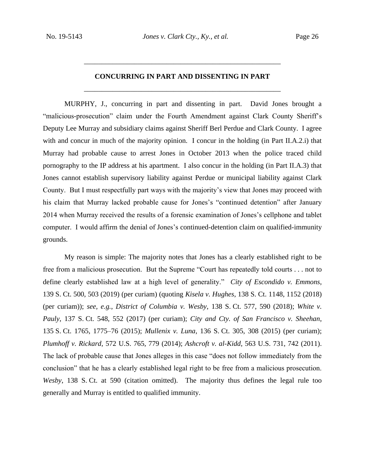# **CONCURRING IN PART AND DISSENTING IN PART** \_\_\_\_\_\_\_\_\_\_\_\_\_\_\_\_\_\_\_\_\_\_\_\_\_\_\_\_\_\_\_\_\_\_\_\_\_\_\_\_\_\_\_\_\_\_\_\_\_\_\_\_\_\_\_

\_\_\_\_\_\_\_\_\_\_\_\_\_\_\_\_\_\_\_\_\_\_\_\_\_\_\_\_\_\_\_\_\_\_\_\_\_\_\_\_\_\_\_\_\_\_\_\_\_\_\_\_\_\_\_

MURPHY, J., concurring in part and dissenting in part. David Jones brought a "malicious-prosecution" claim under the Fourth Amendment against Clark County Sheriff's Deputy Lee Murray and subsidiary claims against Sheriff Berl Perdue and Clark County. I agree with and concur in much of the majority opinion. I concur in the holding (in Part II.A.2.i) that Murray had probable cause to arrest Jones in October 2013 when the police traced child pornography to the IP address at his apartment. I also concur in the holding (in Part II.A.3) that Jones cannot establish supervisory liability against Perdue or municipal liability against Clark County. But I must respectfully part ways with the majority's view that Jones may proceed with his claim that Murray lacked probable cause for Jones's "continued detention" after January 2014 when Murray received the results of a forensic examination of Jones's cellphone and tablet computer. I would affirm the denial of Jones's continued-detention claim on qualified-immunity grounds.

My reason is simple: The majority notes that Jones has a clearly established right to be free from a malicious prosecution. But the Supreme "Court has repeatedly told courts . . . not to define clearly established law at a high level of generality." *City of Escondido v. Emmons*, 139 S. Ct. 500, 503 (2019) (per curiam) (quoting *Kisela v. Hughes*, 138 S. Ct. 1148, 1152 (2018) (per curiam)); *see, e.g.*, *District of Columbia v. Wesby*, 138 S. Ct. 577, 590 (2018); *White v. Pauly*, 137 S. Ct. 548, 552 (2017) (per curiam); *City and Cty. of San Francisco v. Sheehan*, 135 S. Ct. 1765, 1775–76 (2015); *Mullenix v. Luna*, 136 S. Ct. 305, 308 (2015) (per curiam); *Plumhoff v. Rickard*, 572 U.S. 765, 779 (2014); *Ashcroft v. al-Kidd*, 563 U.S. 731, 742 (2011). The lack of probable cause that Jones alleges in this case "does not follow immediately from the conclusion" that he has a clearly established legal right to be free from a malicious prosecution. *Wesby*, 138 S. Ct. at 590 (citation omitted). The majority thus defines the legal rule too generally and Murray is entitled to qualified immunity.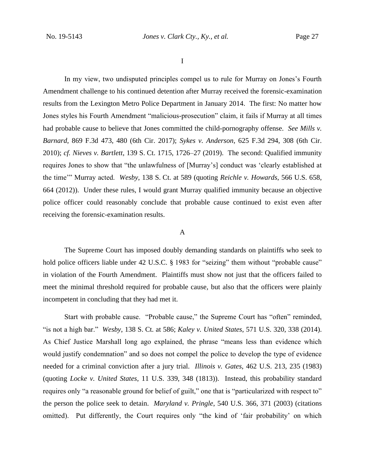I

In my view, two undisputed principles compel us to rule for Murray on Jones's Fourth Amendment challenge to his continued detention after Murray received the forensic-examination results from the Lexington Metro Police Department in January 2014. The first: No matter how Jones styles his Fourth Amendment "malicious-prosecution" claim, it fails if Murray at all times had probable cause to believe that Jones committed the child-pornography offense. *See Mills v. Barnard*, 869 F.3d 473, 480 (6th Cir. 2017); *Sykes v. Anderson*, 625 F.3d 294, 308 (6th Cir. 2010); *cf. Nieves v. Bartlett*, 139 S. Ct. 1715, 1726–27 (2019). The second: Qualified immunity requires Jones to show that "the unlawfulness of [Murray's] conduct was 'clearly established at the time'" Murray acted. *Wesby*, 138 S. Ct. at 589 (quoting *Reichle v. Howards*, 566 U.S. 658, 664 (2012)). Under these rules, I would grant Murray qualified immunity because an objective police officer could reasonably conclude that probable cause continued to exist even after receiving the forensic-examination results.

### A

The Supreme Court has imposed doubly demanding standards on plaintiffs who seek to hold police officers liable under 42 U.S.C. § 1983 for "seizing" them without "probable cause" in violation of the Fourth Amendment. Plaintiffs must show not just that the officers failed to meet the minimal threshold required for probable cause, but also that the officers were plainly incompetent in concluding that they had met it.

Start with probable cause. "Probable cause," the Supreme Court has "often" reminded, "is not a high bar." *Wesby*, 138 S. Ct. at 586; *Kaley v. United States*, 571 U.S. 320, 338 (2014). As Chief Justice Marshall long ago explained, the phrase "means less than evidence which would justify condemnation" and so does not compel the police to develop the type of evidence needed for a criminal conviction after a jury trial. *Illinois v. Gates*, 462 U.S. 213, 235 (1983) (quoting *Locke v. United States*, 11 U.S. 339, 348 (1813)). Instead, this probability standard requires only "a reasonable ground for belief of guilt," one that is "particularized with respect to" the person the police seek to detain. *Maryland v. Pringle*, 540 U.S. 366, 371 (2003) (citations omitted). Put differently, the Court requires only "the kind of 'fair probability' on which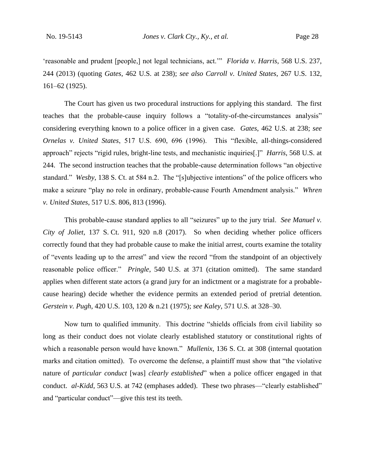'reasonable and prudent [people,] not legal technicians, act.'" *Florida v. Harris*, 568 U.S. 237, 244 (2013) (quoting *Gates*, 462 U.S. at 238); *see also Carroll v. United States*, 267 U.S. 132, 161–62 (1925).

The Court has given us two procedural instructions for applying this standard. The first teaches that the probable-cause inquiry follows a "totality-of-the-circumstances analysis" considering everything known to a police officer in a given case. *Gates*, 462 U.S. at 238; *see Ornelas v. United States*, 517 U.S. 690, 696 (1996). This "flexible, all-things-considered approach" rejects "rigid rules, bright-line tests, and mechanistic inquiries[.]" *Harris*, 568 U.S. at 244. The second instruction teaches that the probable-cause determination follows "an objective standard." *Wesby*, 138 S. Ct. at 584 n.2. The "[s]ubjective intentions" of the police officers who make a seizure "play no role in ordinary, probable-cause Fourth Amendment analysis." *Whren v. United States*, 517 U.S. 806, 813 (1996).

This probable-cause standard applies to all "seizures" up to the jury trial. *See Manuel v. City of Joliet*, 137 S. Ct. 911, 920 n.8 (2017). So when deciding whether police officers correctly found that they had probable cause to make the initial arrest, courts examine the totality of "events leading up to the arrest" and view the record "from the standpoint of an objectively reasonable police officer." *Pringle*, 540 U.S. at 371 (citation omitted). The same standard applies when different state actors (a grand jury for an indictment or a magistrate for a probablecause hearing) decide whether the evidence permits an extended period of pretrial detention. *Gerstein v. Pugh*, 420 U.S. 103, 120 & n.21 (1975); *see Kaley*, 571 U.S. at 328–30.

Now turn to qualified immunity. This doctrine "shields officials from civil liability so long as their conduct does not violate clearly established statutory or constitutional rights of which a reasonable person would have known." *Mullenix*, 136 S. Ct. at 308 (internal quotation marks and citation omitted). To overcome the defense, a plaintiff must show that "the violative nature of *particular conduct* [was] *clearly established*" when a police officer engaged in that conduct. *al-Kidd*, 563 U.S. at 742 (emphases added). These two phrases—"clearly established" and "particular conduct"—give this test its teeth.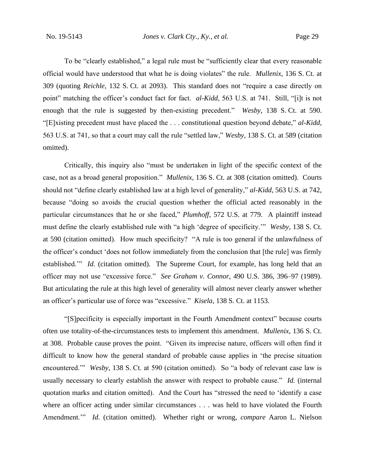To be "clearly established," a legal rule must be "sufficiently clear that every reasonable official would have understood that what he is doing violates" the rule. *Mullenix*, 136 S. Ct. at 309 (quoting *Reichle*, 132 S. Ct. at 2093). This standard does not "require a case directly on point" matching the officer's conduct fact for fact. *al-Kidd*, 563 U.S. at 741. Still, "[i]t is not enough that the rule is suggested by then-existing precedent." *Wesby*, 138 S. Ct. at 590. "[E]xisting precedent must have placed the . . . constitutional question beyond debate," *al-Kidd*, 563 U.S. at 741, so that a court may call the rule "settled law," *Wesby*, 138 S. Ct. at 589 (citation omitted).

Critically, this inquiry also "must be undertaken in light of the specific context of the case, not as a broad general proposition." *Mullenix*, 136 S. Ct. at 308 (citation omitted). Courts should not "define clearly established law at a high level of generality," *al-Kidd*, 563 U.S. at 742, because "doing so avoids the crucial question whether the official acted reasonably in the particular circumstances that he or she faced," *Plumhoff*, 572 U.S. at 779. A plaintiff instead must define the clearly established rule with "a high 'degree of specificity.'" *Wesby*, 138 S. Ct. at 590 (citation omitted). How much specificity? "A rule is too general if the unlawfulness of the officer's conduct 'does not follow immediately from the conclusion that [the rule] was firmly established." *Id.* (citation omitted). The Supreme Court, for example, has long held that an officer may not use "excessive force." *See Graham v. Connor*, 490 U.S. 386, 396–97 (1989). But articulating the rule at this high level of generality will almost never clearly answer whether an officer's particular use of force was "excessive." *Kisela*, 138 S. Ct. at 1153.

"[S]pecificity is especially important in the Fourth Amendment context" because courts often use totality-of-the-circumstances tests to implement this amendment. *Mullenix*, 136 S. Ct. at 308. Probable cause proves the point. "Given its imprecise nature, officers will often find it difficult to know how the general standard of probable cause applies in 'the precise situation encountered.'" *Wesby*, 138 S. Ct. at 590 (citation omitted). So "a body of relevant case law is usually necessary to clearly establish the answer with respect to probable cause." *Id.* (internal quotation marks and citation omitted). And the Court has "stressed the need to 'identify a case where an officer acting under similar circumstances . . . was held to have violated the Fourth Amendment.'" *Id.* (citation omitted). Whether right or wrong, *compare* Aaron L. Nielson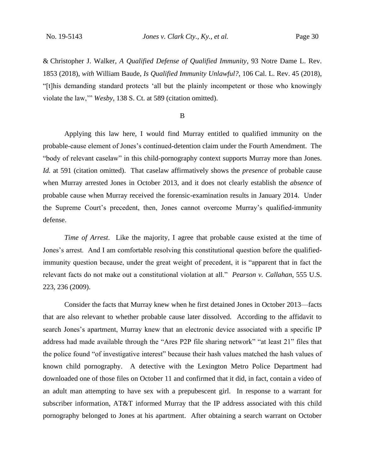& Christopher J. Walker, *A Qualified Defense of Qualified Immunity*, 93 Notre Dame L. Rev. 1853 (2018), *with* William Baude, *Is Qualified Immunity Unlawful?*, 106 Cal. L. Rev. 45 (2018), "[t]his demanding standard protects 'all but the plainly incompetent or those who knowingly violate the law,'" *Wesby*, 138 S. Ct. at 589 (citation omitted).

## B

Applying this law here, I would find Murray entitled to qualified immunity on the probable-cause element of Jones's continued-detention claim under the Fourth Amendment. The "body of relevant caselaw" in this child-pornography context supports Murray more than Jones. *Id.* at 591 (citation omitted). That caselaw affirmatively shows the *presence* of probable cause when Murray arrested Jones in October 2013, and it does not clearly establish the *absence* of probable cause when Murray received the forensic-examination results in January 2014. Under the Supreme Court's precedent, then, Jones cannot overcome Murray's qualified-immunity defense.

*Time of Arrest*. Like the majority, I agree that probable cause existed at the time of Jones's arrest. And I am comfortable resolving this constitutional question before the qualifiedimmunity question because, under the great weight of precedent, it is "apparent that in fact the relevant facts do not make out a constitutional violation at all." *Pearson v. Callahan*, 555 U.S. 223, 236 (2009).

Consider the facts that Murray knew when he first detained Jones in October 2013—facts that are also relevant to whether probable cause later dissolved. According to the affidavit to search Jones's apartment, Murray knew that an electronic device associated with a specific IP address had made available through the "Ares P2P file sharing network" "at least 21" files that the police found "of investigative interest" because their hash values matched the hash values of known child pornography. A detective with the Lexington Metro Police Department had downloaded one of those files on October 11 and confirmed that it did, in fact, contain a video of an adult man attempting to have sex with a prepubescent girl. In response to a warrant for subscriber information, AT&T informed Murray that the IP address associated with this child pornography belonged to Jones at his apartment. After obtaining a search warrant on October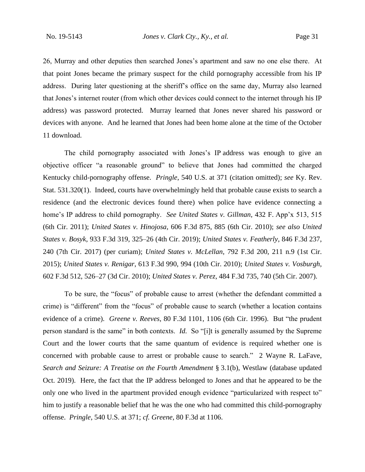26, Murray and other deputies then searched Jones's apartment and saw no one else there. At that point Jones became the primary suspect for the child pornography accessible from his IP address. During later questioning at the sheriff's office on the same day, Murray also learned that Jones's internet router (from which other devices could connect to the internet through his IP address) was password protected. Murray learned that Jones never shared his password or devices with anyone. And he learned that Jones had been home alone at the time of the October 11 download.

The child pornography associated with Jones's IP address was enough to give an objective officer "a reasonable ground" to believe that Jones had committed the charged Kentucky child-pornography offense. *Pringle*, 540 U.S. at 371 (citation omitted); *see* Ky. Rev. Stat. 531.320(1). Indeed, courts have overwhelmingly held that probable cause exists to search a residence (and the electronic devices found there) when police have evidence connecting a home's IP address to child pornography. *See United States v. Gillman*, 432 F. App'x 513, 515 (6th Cir. 2011); *United States v. Hinojosa*, 606 F.3d 875, 885 (6th Cir. 2010); *see also United States v. Bosyk*, 933 F.3d 319, 325–26 (4th Cir. 2019); *United States v. Featherly*, 846 F.3d 237, 240 (7th Cir. 2017) (per curiam); *United States v. McLellan*, 792 F.3d 200, 211 n.9 (1st Cir. 2015); *United States v. Renigar*, 613 F.3d 990, 994 (10th Cir. 2010); *United States v. Vosburgh*, 602 F.3d 512, 526–27 (3d Cir. 2010); *United States v. Perez*, 484 F.3d 735, 740 (5th Cir. 2007).

To be sure, the "focus" of probable cause to arrest (whether the defendant committed a crime) is "different" from the "focus" of probable cause to search (whether a location contains evidence of a crime). *Greene v. Reeves*, 80 F.3d 1101, 1106 (6th Cir. 1996). But "the prudent person standard is the same" in both contexts. *Id.* So "[i]t is generally assumed by the Supreme Court and the lower courts that the same quantum of evidence is required whether one is concerned with probable cause to arrest or probable cause to search." 2 Wayne R. LaFave, *Search and Seizure: A Treatise on the Fourth Amendment* § 3.1(b), Westlaw (database updated Oct. 2019). Here, the fact that the IP address belonged to Jones and that he appeared to be the only one who lived in the apartment provided enough evidence "particularized with respect to" him to justify a reasonable belief that he was the one who had committed this child-pornography offense. *Pringle*, 540 U.S. at 371; *cf. Greene*, 80 F.3d at 1106.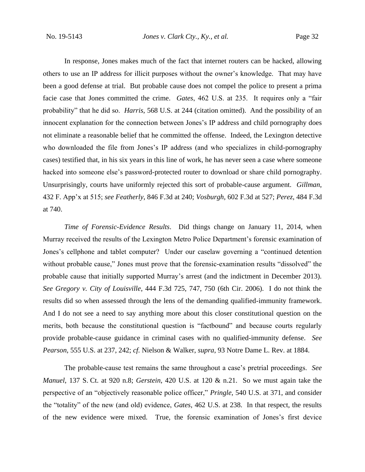In response, Jones makes much of the fact that internet routers can be hacked, allowing others to use an IP address for illicit purposes without the owner's knowledge. That may have been a good defense at trial. But probable cause does not compel the police to present a prima facie case that Jones committed the crime. *Gates*, 462 U.S. at 235. It requires only a "fair probability" that he did so. *Harris*, 568 U.S. at 244 (citation omitted). And the possibility of an innocent explanation for the connection between Jones's IP address and child pornography does not eliminate a reasonable belief that he committed the offense. Indeed, the Lexington detective who downloaded the file from Jones's IP address (and who specializes in child-pornography cases) testified that, in his six years in this line of work, he has never seen a case where someone hacked into someone else's password-protected router to download or share child pornography. Unsurprisingly, courts have uniformly rejected this sort of probable-cause argument. *Gillman*, 432 F. App'x at 515; *see Featherly*, 846 F.3d at 240; *Vosburgh*, 602 F.3d at 527; *Perez*, 484 F.3d at 740.

*Time of Forensic-Evidence Results*. Did things change on January 11, 2014, when Murray received the results of the Lexington Metro Police Department's forensic examination of Jones's cellphone and tablet computer? Under our caselaw governing a "continued detention without probable cause," Jones must prove that the forensic-examination results "dissolved" the probable cause that initially supported Murray's arrest (and the indictment in December 2013). *See Gregory v. City of Louisville*, 444 F.3d 725, 747, 750 (6th Cir. 2006). I do not think the results did so when assessed through the lens of the demanding qualified-immunity framework. And I do not see a need to say anything more about this closer constitutional question on the merits, both because the constitutional question is "factbound" and because courts regularly provide probable-cause guidance in criminal cases with no qualified-immunity defense. *See Pearson*, 555 U.S. at 237, 242; *cf.* Nielson & Walker, *supra*, 93 Notre Dame L. Rev. at 1884.

The probable-cause test remains the same throughout a case's pretrial proceedings. *See Manuel*, 137 S. Ct. at 920 n.8; *Gerstein*, 420 U.S. at 120 & n.21. So we must again take the perspective of an "objectively reasonable police officer," *Pringle*, 540 U.S. at 371, and consider the "totality" of the new (and old) evidence, *Gates*, 462 U.S. at 238. In that respect, the results of the new evidence were mixed. True, the forensic examination of Jones's first device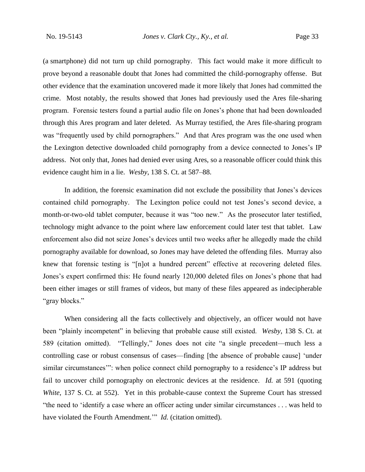(a smartphone) did not turn up child pornography. This fact would make it more difficult to prove beyond a reasonable doubt that Jones had committed the child-pornography offense. But other evidence that the examination uncovered made it more likely that Jones had committed the crime. Most notably, the results showed that Jones had previously used the Ares file-sharing program. Forensic testers found a partial audio file on Jones's phone that had been downloaded through this Ares program and later deleted. As Murray testified, the Ares file-sharing program was "frequently used by child pornographers." And that Ares program was the one used when the Lexington detective downloaded child pornography from a device connected to Jones's IP address. Not only that, Jones had denied ever using Ares, so a reasonable officer could think this evidence caught him in a lie. *Wesby*, 138 S. Ct. at 587–88.

In addition, the forensic examination did not exclude the possibility that Jones's devices contained child pornography. The Lexington police could not test Jones's second device, a month-or-two-old tablet computer, because it was "too new." As the prosecutor later testified, technology might advance to the point where law enforcement could later test that tablet. Law enforcement also did not seize Jones's devices until two weeks after he allegedly made the child pornography available for download, so Jones may have deleted the offending files. Murray also knew that forensic testing is "[n]ot a hundred percent" effective at recovering deleted files. Jones's expert confirmed this: He found nearly 120,000 deleted files on Jones's phone that had been either images or still frames of videos, but many of these files appeared as indecipherable "gray blocks."

When considering all the facts collectively and objectively, an officer would not have been "plainly incompetent" in believing that probable cause still existed. *Wesby*, 138 S. Ct. at 589 (citation omitted). "Tellingly," Jones does not cite "a single precedent—much less a controlling case or robust consensus of cases—finding [the absence of probable cause] 'under similar circumstances": when police connect child pornography to a residence's IP address but fail to uncover child pornography on electronic devices at the residence. *Id.* at 591 (quoting *White*, 137 S. Ct. at 552). Yet in this probable-cause context the Supreme Court has stressed "the need to 'identify a case where an officer acting under similar circumstances . . . was held to have violated the Fourth Amendment.'" *Id.* (citation omitted).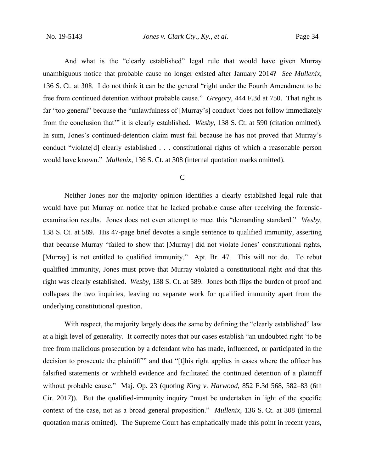And what is the "clearly established" legal rule that would have given Murray unambiguous notice that probable cause no longer existed after January 2014? *See Mullenix*, 136 S. Ct. at 308. I do not think it can be the general "right under the Fourth Amendment to be free from continued detention without probable cause." *Gregory*, 444 F.3d at 750. That right is far "too general" because the "unlawfulness of [Murray's] conduct 'does not follow immediately from the conclusion that'" it is clearly established. *Wesby*, 138 S. Ct. at 590 (citation omitted). In sum, Jones's continued-detention claim must fail because he has not proved that Murray's conduct "violate[d] clearly established . . . constitutional rights of which a reasonable person would have known." *Mullenix*, 136 S. Ct. at 308 (internal quotation marks omitted).

#### C

Neither Jones nor the majority opinion identifies a clearly established legal rule that would have put Murray on notice that he lacked probable cause after receiving the forensicexamination results. Jones does not even attempt to meet this "demanding standard." *Wesby*, 138 S. Ct. at 589. His 47-page brief devotes a single sentence to qualified immunity, asserting that because Murray "failed to show that [Murray] did not violate Jones' constitutional rights, [Murray] is not entitled to qualified immunity." Apt. Br. 47. This will not do. To rebut qualified immunity, Jones must prove that Murray violated a constitutional right *and* that this right was clearly established. *Wesby*, 138 S. Ct. at 589. Jones both flips the burden of proof and collapses the two inquiries, leaving no separate work for qualified immunity apart from the underlying constitutional question.

With respect, the majority largely does the same by defining the "clearly established" law at a high level of generality. It correctly notes that our cases establish "an undoubted right 'to be free from malicious prosecution by a defendant who has made, influenced, or participated in the decision to prosecute the plaintiff" and that "[t]his right applies in cases where the officer has falsified statements or withheld evidence and facilitated the continued detention of a plaintiff without probable cause." Maj. Op. 23 (quoting *King v. Harwood*, 852 F.3d 568, 582–83 (6th Cir. 2017)). But the qualified-immunity inquiry "must be undertaken in light of the specific context of the case, not as a broad general proposition." *Mullenix*, 136 S. Ct. at 308 (internal quotation marks omitted). The Supreme Court has emphatically made this point in recent years,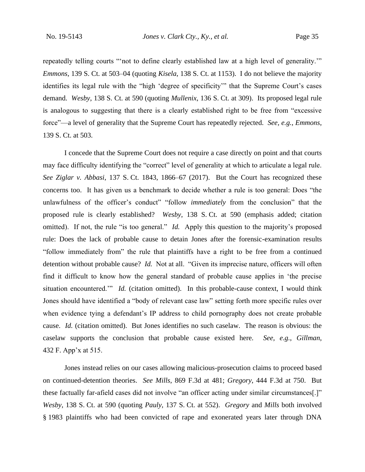repeatedly telling courts "'not to define clearly established law at a high level of generality.'" *Emmons*, 139 S. Ct. at 503–04 (quoting *Kisela*, 138 S. Ct. at 1153). I do not believe the majority identifies its legal rule with the "high 'degree of specificity'" that the Supreme Court's cases demand. *Wesby*, 138 S. Ct. at 590 (quoting *Mullenix*, 136 S. Ct. at 309). Its proposed legal rule is analogous to suggesting that there is a clearly established right to be free from "excessive force"—a level of generality that the Supreme Court has repeatedly rejected. *See, e.g.*, *Emmons*, 139 S. Ct. at 503.

I concede that the Supreme Court does not require a case directly on point and that courts may face difficulty identifying the "correct" level of generality at which to articulate a legal rule. *See Ziglar v. Abbasi*, 137 S. Ct. 1843, 1866–67 (2017). But the Court has recognized these concerns too. It has given us a benchmark to decide whether a rule is too general: Does "the unlawfulness of the officer's conduct" "follow *immediately* from the conclusion" that the proposed rule is clearly established? *Wesby*, 138 S. Ct. at 590 (emphasis added; citation omitted). If not, the rule "is too general." *Id.* Apply this question to the majority's proposed rule: Does the lack of probable cause to detain Jones after the forensic-examination results "follow immediately from" the rule that plaintiffs have a right to be free from a continued detention without probable cause? *Id.* Not at all. "Given its imprecise nature, officers will often find it difficult to know how the general standard of probable cause applies in 'the precise situation encountered." *Id.* (citation omitted). In this probable-cause context, I would think Jones should have identified a "body of relevant case law" setting forth more specific rules over when evidence tying a defendant's IP address to child pornography does not create probable cause. *Id.* (citation omitted). But Jones identifies no such caselaw. The reason is obvious: the caselaw supports the conclusion that probable cause existed here. *See, e.g.*, *Gillman*, 432 F. App'x at 515.

Jones instead relies on our cases allowing malicious-prosecution claims to proceed based on continued-detention theories. *See Mills*, 869 F.3d at 481; *Gregory*, 444 F.3d at 750. But these factually far-afield cases did not involve "an officer acting under similar circumstances[.]" *Wesby*, 138 S. Ct. at 590 (quoting *Pauly*, 137 S. Ct. at 552). *Gregory* and *Mills* both involved § 1983 plaintiffs who had been convicted of rape and exonerated years later through DNA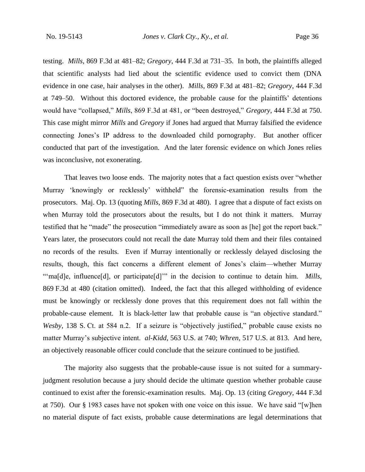testing. *Mills*, 869 F.3d at 481–82; *Gregory*, 444 F.3d at 731–35. In both, the plaintiffs alleged that scientific analysts had lied about the scientific evidence used to convict them (DNA evidence in one case, hair analyses in the other). *Mills*, 869 F.3d at 481–82; *Gregory*, 444 F.3d at 749–50. Without this doctored evidence, the probable cause for the plaintiffs' detentions would have "collapsed," *Mills*, 869 F.3d at 481, or "been destroyed," *Gregory*, 444 F.3d at 750. This case might mirror *Mills* and *Gregory* if Jones had argued that Murray falsified the evidence connecting Jones's IP address to the downloaded child pornography. But another officer conducted that part of the investigation. And the later forensic evidence on which Jones relies was inconclusive, not exonerating.

That leaves two loose ends. The majority notes that a fact question exists over "whether Murray 'knowingly or recklessly' withheld" the forensic-examination results from the prosecutors. Maj. Op. 13 (quoting *Mills*, 869 F.3d at 480). I agree that a dispute of fact exists on when Murray told the prosecutors about the results, but I do not think it matters. Murray testified that he "made" the prosecution "immediately aware as soon as [he] got the report back." Years later, the prosecutors could not recall the date Murray told them and their files contained no records of the results. Even if Murray intentionally or recklessly delayed disclosing the results, though, this fact concerns a different element of Jones's claim—whether Murray "'ma[d]e, influence[d], or participate[d]'" in the decision to continue to detain him. *Mills*, 869 F.3d at 480 (citation omitted). Indeed, the fact that this alleged withholding of evidence must be knowingly or recklessly done proves that this requirement does not fall within the probable-cause element. It is black-letter law that probable cause is "an objective standard." *Wesby*, 138 S. Ct. at 584 n.2. If a seizure is "objectively justified," probable cause exists no matter Murray's subjective intent. *al-Kidd*, 563 U.S. at 740; *Whren*, 517 U.S. at 813. And here, an objectively reasonable officer could conclude that the seizure continued to be justified.

The majority also suggests that the probable-cause issue is not suited for a summaryjudgment resolution because a jury should decide the ultimate question whether probable cause continued to exist after the forensic-examination results. Maj. Op. 13 (citing *Gregory*, 444 F.3d at 750). Our § 1983 cases have not spoken with one voice on this issue. We have said "[w]hen no material dispute of fact exists, probable cause determinations are legal determinations that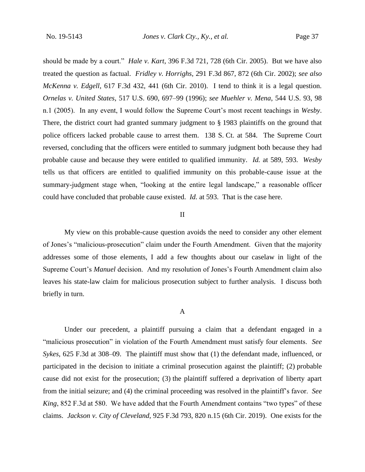should be made by a court." *Hale v. Kart*, 396 F.3d 721, 728 (6th Cir. 2005). But we have also treated the question as factual. *Fridley v. Horrighs*, 291 F.3d 867, 872 (6th Cir. 2002); *see also McKenna v. Edgell*, 617 F.3d 432, 441 (6th Cir. 2010). I tend to think it is a legal question. *Ornelas v. United States*, 517 U.S. 690, 697–99 (1996); *see Muehler v. Mena*, 544 U.S. 93, 98 n.1 (2005). In any event, I would follow the Supreme Court's most recent teachings in *Wesby*. There, the district court had granted summary judgment to § 1983 plaintiffs on the ground that police officers lacked probable cause to arrest them. 138 S. Ct. at 584. The Supreme Court reversed, concluding that the officers were entitled to summary judgment both because they had probable cause and because they were entitled to qualified immunity. *Id.* at 589, 593. *Wesby* tells us that officers are entitled to qualified immunity on this probable-cause issue at the summary-judgment stage when, "looking at the entire legal landscape," a reasonable officer could have concluded that probable cause existed. *Id.* at 593. That is the case here.

## II

My view on this probable-cause question avoids the need to consider any other element of Jones's "malicious-prosecution" claim under the Fourth Amendment. Given that the majority addresses some of those elements, I add a few thoughts about our caselaw in light of the Supreme Court's *Manuel* decision. And my resolution of Jones's Fourth Amendment claim also leaves his state-law claim for malicious prosecution subject to further analysis. I discuss both briefly in turn.

#### A

Under our precedent, a plaintiff pursuing a claim that a defendant engaged in a "malicious prosecution" in violation of the Fourth Amendment must satisfy four elements. *See Sykes*, 625 F.3d at 308–09. The plaintiff must show that (1) the defendant made, influenced, or participated in the decision to initiate a criminal prosecution against the plaintiff; (2) probable cause did not exist for the prosecution; (3) the plaintiff suffered a deprivation of liberty apart from the initial seizure; and (4) the criminal proceeding was resolved in the plaintiff's favor. *See King*, 852 F.3d at 580. We have added that the Fourth Amendment contains "two types" of these claims. *Jackson v. City of Cleveland*, 925 F.3d 793, 820 n.15 (6th Cir. 2019). One exists for the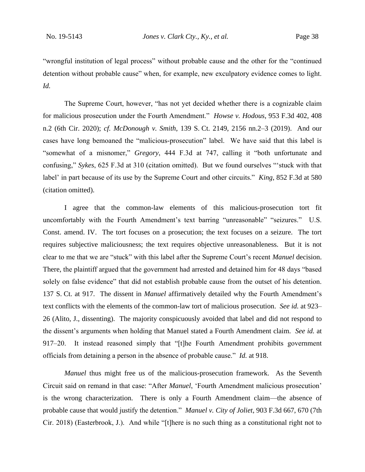"wrongful institution of legal process" without probable cause and the other for the "continued detention without probable cause" when, for example, new exculpatory evidence comes to light. *Id.*

The Supreme Court, however, "has not yet decided whether there is a cognizable claim for malicious prosecution under the Fourth Amendment." *Howse v. Hodous*, 953 F.3d 402, 408 n.2 (6th Cir. 2020); *cf. McDonough v. Smith*, 139 S. Ct. 2149, 2156 nn.2–3 (2019). And our cases have long bemoaned the "malicious-prosecution" label. We have said that this label is "somewhat of a misnomer," *Gregory*, 444 F.3d at 747, calling it "both unfortunate and confusing," *Sykes*, 625 F.3d at 310 (citation omitted). But we found ourselves "'stuck with that label' in part because of its use by the Supreme Court and other circuits." *King*, 852 F.3d at 580 (citation omitted).

I agree that the common-law elements of this malicious-prosecution tort fit uncomfortably with the Fourth Amendment's text barring "unreasonable" "seizures." U.S. Const. amend. IV. The tort focuses on a prosecution; the text focuses on a seizure. The tort requires subjective maliciousness; the text requires objective unreasonableness. But it is not clear to me that we are "stuck" with this label after the Supreme Court's recent *Manuel* decision. There, the plaintiff argued that the government had arrested and detained him for 48 days "based solely on false evidence" that did not establish probable cause from the outset of his detention. 137 S. Ct. at 917. The dissent in *Manuel* affirmatively detailed why the Fourth Amendment's text conflicts with the elements of the common-law tort of malicious prosecution. *See id.* at 923– 26 (Alito, J., dissenting). The majority conspicuously avoided that label and did not respond to the dissent's arguments when holding that Manuel stated a Fourth Amendment claim. *See id.* at 917–20. It instead reasoned simply that "[t]he Fourth Amendment prohibits government officials from detaining a person in the absence of probable cause." *Id.* at 918.

*Manuel* thus might free us of the malicious-prosecution framework. As the Seventh Circuit said on remand in that case: "After *Manuel*, 'Fourth Amendment malicious prosecution' is the wrong characterization. There is only a Fourth Amendment claim—the absence of probable cause that would justify the detention." *Manuel v. City of Joliet*, 903 F.3d 667, 670 (7th Cir. 2018) (Easterbrook, J.). And while "[t]here is no such thing as a constitutional right not to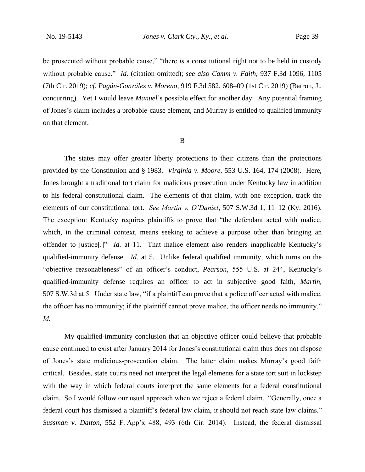be prosecuted without probable cause," "there *is* a constitutional right not to be held in custody without probable cause." *Id.* (citation omitted); *see also Camm v. Faith*, 937 F.3d 1096, 1105 (7th Cir. 2019); *cf. Pagán-González v. Moreno*, 919 F.3d 582, 608–09 (1st Cir. 2019) (Barron, J., concurring). Yet I would leave *Manuel*'s possible effect for another day. Any potential framing of Jones's claim includes a probable-cause element, and Murray is entitled to qualified immunity on that element.

#### B

The states may offer greater liberty protections to their citizens than the protections provided by the Constitution and § 1983. *Virginia v. Moore*, 553 U.S. 164, 174 (2008). Here, Jones brought a traditional tort claim for malicious prosecution under Kentucky law in addition to his federal constitutional claim. The elements of that claim, with one exception, track the elements of our constitutional tort. *See Martin v. O'Daniel*, 507 S.W.3d 1, 11–12 (Ky. 2016). The exception: Kentucky requires plaintiffs to prove that "the defendant acted with malice, which, in the criminal context, means seeking to achieve a purpose other than bringing an offender to justice[.]" *Id.* at 11. That malice element also renders inapplicable Kentucky's qualified-immunity defense. *Id.* at 5. Unlike federal qualified immunity, which turns on the "objective reasonableness" of an officer's conduct, *Pearson*, 555 U.S. at 244, Kentucky's qualified-immunity defense requires an officer to act in subjective good faith, *Martin*, 507 S.W.3d at 5. Under state law, "if a plaintiff can prove that a police officer acted with malice, the officer has no immunity; if the plaintiff cannot prove malice, the officer needs no immunity." *Id.*

My qualified-immunity conclusion that an objective officer could believe that probable cause continued to exist after January 2014 for Jones's constitutional claim thus does not dispose of Jones's state malicious-prosecution claim. The latter claim makes Murray's good faith critical. Besides, state courts need not interpret the legal elements for a state tort suit in lockstep with the way in which federal courts interpret the same elements for a federal constitutional claim. So I would follow our usual approach when we reject a federal claim. "Generally, once a federal court has dismissed a plaintiff's federal law claim, it should not reach state law claims." *Sussman v. Dalton*, 552 F. App'x 488, 493 (6th Cir. 2014). Instead, the federal dismissal